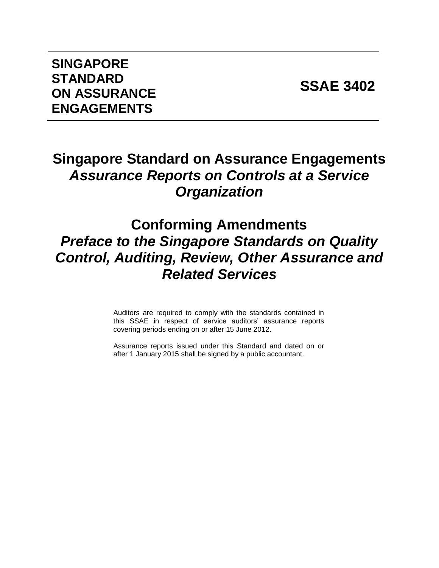# **SINGAPORE STANDARD ON ASSURANCE ENGAGEMENTS**

# **SSAE 3402**

# **Singapore Standard on Assurance Engagements** *Assurance Reports on Controls at a Service Organization*

# **Conforming Amendments** *Preface to the Singapore Standards on Quality Control, Auditing, Review, Other Assurance and Related Services*

Auditors are required to comply with the standards contained in this SSAE in respect of service auditors' assurance reports covering periods ending on or after 15 June 2012.

Assurance reports issued under this Standard and dated on or after 1 January 2015 shall be signed by a public accountant.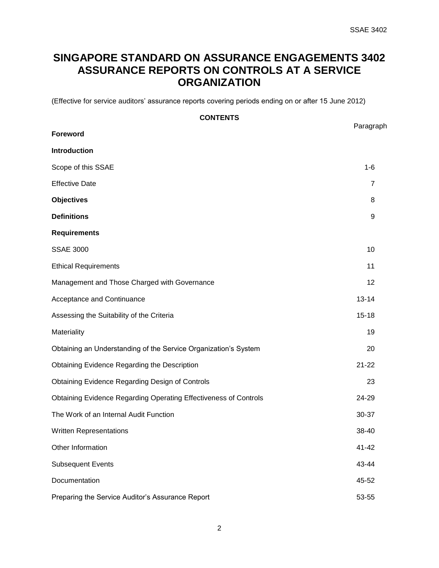# **SINGAPORE STANDARD ON ASSURANCE ENGAGEMENTS 3402 ASSURANCE REPORTS ON CONTROLS AT A SERVICE ORGANIZATION**

(Effective for service auditors' assurance reports covering periods ending on or after 15 June 2012)

# **CONTENTS** Paragraph **Foreword Introduction** Scope of this SSAE 1-6 Effective Date 7 **Objectives** 8 **Definitions** 9 **Requirements**  $SSAE$  3000  $10$ Ethical Requirements 11 Management and Those Charged with Governance **12** and 12 Acceptance and Continuance 13-14 Assessing the Suitability of the Criteria 15-18 Materiality 19 Obtaining an Understanding of the Service Organization's System 20 Obtaining Evidence Regarding the Description 21-22 Obtaining Evidence Regarding Design of Controls 23 Obtaining Evidence Regarding Operating Effectiveness of Controls 24-29 The Work of an Internal Audit Function 30-37 (30-37) Written Representations 38-40 Other Information 41-42 Subsequent Events 43-44 Documentation 45-52 Preparing the Service Auditor's Assurance Report 53-55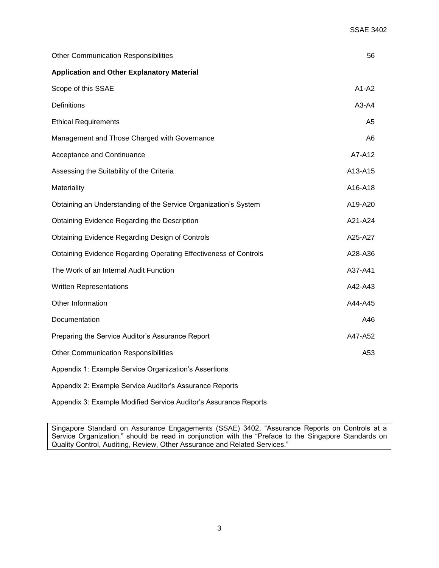| <b>Other Communication Responsibilities</b>                      | 56      |
|------------------------------------------------------------------|---------|
| <b>Application and Other Explanatory Material</b>                |         |
| Scope of this SSAE                                               | $A1-A2$ |
| <b>Definitions</b>                                               | $A3-A4$ |
| <b>Ethical Requirements</b>                                      | A5      |
| Management and Those Charged with Governance                     | A6      |
| Acceptance and Continuance                                       | A7-A12  |
| Assessing the Suitability of the Criteria                        | A13-A15 |
| Materiality                                                      | A16-A18 |
| Obtaining an Understanding of the Service Organization's System  | A19-A20 |
| Obtaining Evidence Regarding the Description                     | A21-A24 |
| Obtaining Evidence Regarding Design of Controls                  | A25-A27 |
| Obtaining Evidence Regarding Operating Effectiveness of Controls | A28-A36 |
| The Work of an Internal Audit Function                           | A37-A41 |
| <b>Written Representations</b>                                   | A42-A43 |
| Other Information                                                | A44-A45 |
| Documentation                                                    | A46     |
| Preparing the Service Auditor's Assurance Report                 | A47-A52 |
| <b>Other Communication Responsibilities</b>                      | A53     |
| Appendix 1: Example Service Organization's Assertions            |         |
| Appendix 2: Example Service Auditor's Assurance Reports          |         |

Appendix 3: Example Modified Service Auditor's Assurance Reports

Singapore Standard on Assurance Engagements (SSAE) 3402, "Assurance Reports on Controls at a Service Organization," should be read in conjunction with the "Preface to the Singapore Standards on Quality Control, Auditing, Review, Other Assurance and Related Services."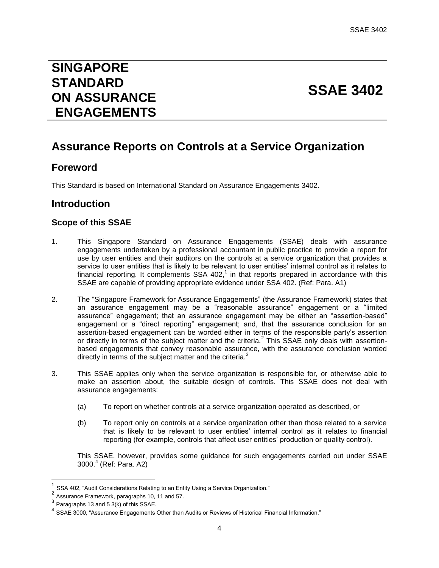# **SINGAPORE STANDARD ON ASSURANCE ENGAGEMENTS**

# **SSAE 3402**

# **Assurance Reports on Controls at a Service Organization**

# **Foreword**

This Standard is based on International Standard on Assurance Engagements 3402.

# **Introduction**

# **Scope of this SSAE**

- 1. This Singapore Standard on Assurance Engagements (SSAE) deals with assurance engagements undertaken by a professional accountant in public practice to provide a report for use by user entities and their auditors on the controls at a service organization that provides a service to user entities that is likely to be relevant to user entities' internal control as it relates to financial reporting. It complements  $SSA 402$ ,<sup>1</sup> in that reports prepared in accordance with this SSAE are capable of providing appropriate evidence under SSA 402. (Ref: Para. A1)
- 2. The "Singapore Framework for Assurance Engagements" (the Assurance Framework) states that an assurance engagement may be a "reasonable assurance" engagement or a "limited assurance" engagement; that an assurance engagement may be either an "assertion-based" engagement or a "direct reporting" engagement; and, that the assurance conclusion for an assertion-based engagement can be worded either in terms of the responsible party's assertion or directly in terms of the subject matter and the criteria. $^2$  This SSAE only deals with assertionbased engagements that convey reasonable assurance, with the assurance conclusion worded directly in terms of the subject matter and the criteria. $3$
- 3. This SSAE applies only when the service organization is responsible for, or otherwise able to make an assertion about, the suitable design of controls. This SSAE does not deal with assurance engagements:
	- (a) To report on whether controls at a service organization operated as described, or
	- (b) To report only on controls at a service organization other than those related to a service that is likely to be relevant to user entities' internal control as it relates to financial reporting (for example, controls that affect user entities' production or quality control).

This SSAE, however, provides some guidance for such engagements carried out under SSAE 3000.<sup>4</sup> (Ref: Para. A2)

<sup>1</sup> SSA 402, "Audit Considerations Relating to an Entity Using a Service Organization."

<sup>2</sup> Assurance Framework, paragraphs 10, 11 and 57.

<sup>3</sup> Paragraphs 13 and 5 3(k) of this SSAE.

<sup>4</sup> SSAE 3000, "Assurance Engagements Other than Audits or Reviews of Historical Financial Information."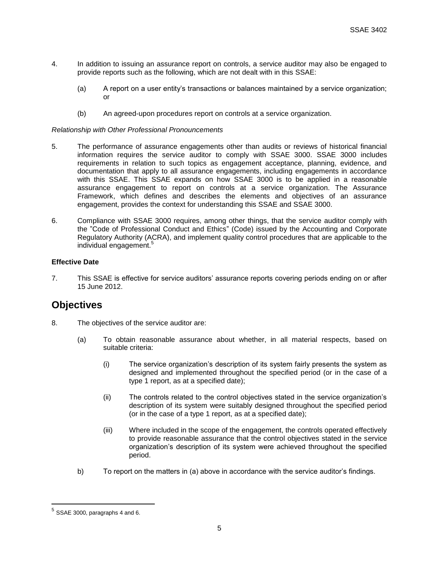- 4. In addition to issuing an assurance report on controls, a service auditor may also be engaged to provide reports such as the following, which are not dealt with in this SSAE:
	- (a) A report on a user entity's transactions or balances maintained by a service organization; or
	- (b) An agreed-upon procedures report on controls at a service organization.

#### *Relationship with Other Professional Pronouncements*

- 5. The performance of assurance engagements other than audits or reviews of historical financial information requires the service auditor to comply with SSAE 3000. SSAE 3000 includes requirements in relation to such topics as engagement acceptance, planning, evidence, and documentation that apply to all assurance engagements, including engagements in accordance with this SSAE. This SSAE expands on how SSAE 3000 is to be applied in a reasonable assurance engagement to report on controls at a service organization. The Assurance Framework, which defines and describes the elements and objectives of an assurance engagement, provides the context for understanding this SSAE and SSAE 3000.
- 6. Compliance with SSAE 3000 requires, among other things, that the service auditor comply with the "Code of Professional Conduct and Ethics" (Code) issued by the Accounting and Corporate Regulatory Authority (ACRA), and implement quality control procedures that are applicable to the individual engagement.<sup>5</sup>

#### **Effective Date**

7. This SSAE is effective for service auditors' assurance reports covering periods ending on or after 15 June 2012.

# **Objectives**

- 8. The objectives of the service auditor are:
	- (a) To obtain reasonable assurance about whether, in all material respects, based on suitable criteria:
		- (i) The service organization's description of its system fairly presents the system as designed and implemented throughout the specified period (or in the case of a type 1 report, as at a specified date);
		- (ii) The controls related to the control objectives stated in the service organization's description of its system were suitably designed throughout the specified period (or in the case of a type 1 report, as at a specified date);
		- (iii) Where included in the scope of the engagement, the controls operated effectively to provide reasonable assurance that the control objectives stated in the service organization's description of its system were achieved throughout the specified period.
	- b) To report on the matters in (a) above in accordance with the service auditor's findings.

<sup>&</sup>lt;u>s</u><br>5 SSAE 3000, paragraphs 4 and 6.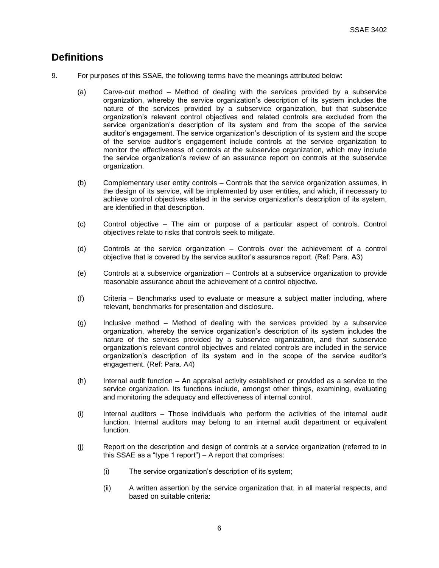# **Definitions**

- 9. For purposes of this SSAE, the following terms have the meanings attributed below:
	- (a) Carve-out method Method of dealing with the services provided by a subservice organization, whereby the service organization's description of its system includes the nature of the services provided by a subservice organization, but that subservice organization's relevant control objectives and related controls are excluded from the service organization's description of its system and from the scope of the service auditor's engagement. The service organization's description of its system and the scope of the service auditor's engagement include controls at the service organization to monitor the effectiveness of controls at the subservice organization, which may include the service organization's review of an assurance report on controls at the subservice organization.
	- (b) Complementary user entity controls Controls that the service organization assumes, in the design of its service, will be implemented by user entities, and which, if necessary to achieve control objectives stated in the service organization's description of its system, are identified in that description.
	- (c) Control objective The aim or purpose of a particular aspect of controls. Control objectives relate to risks that controls seek to mitigate.
	- (d) Controls at the service organization Controls over the achievement of a control objective that is covered by the service auditor's assurance report. (Ref: Para. A3)
	- (e) Controls at a subservice organization Controls at a subservice organization to provide reasonable assurance about the achievement of a control objective.
	- (f) Criteria Benchmarks used to evaluate or measure a subject matter including, where relevant, benchmarks for presentation and disclosure.
	- (g) Inclusive method Method of dealing with the services provided by a subservice organization, whereby the service organization's description of its system includes the nature of the services provided by a subservice organization, and that subservice organization's relevant control objectives and related controls are included in the service organization's description of its system and in the scope of the service auditor's engagement. (Ref: Para. A4)
	- (h) Internal audit function An appraisal activity established or provided as a service to the service organization. Its functions include, amongst other things, examining, evaluating and monitoring the adequacy and effectiveness of internal control.
	- (i) Internal auditors Those individuals who perform the activities of the internal audit function. Internal auditors may belong to an internal audit department or equivalent function.
	- (j) Report on the description and design of controls at a service organization (referred to in this SSAE as a "type 1 report") – A report that comprises:
		- (i) The service organization's description of its system;
		- (ii) A written assertion by the service organization that, in all material respects, and based on suitable criteria: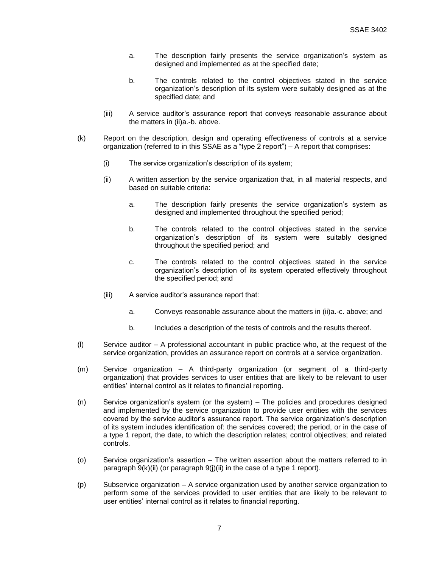- a. The description fairly presents the service organization's system as designed and implemented as at the specified date;
- b. The controls related to the control objectives stated in the service organization's description of its system were suitably designed as at the specified date; and
- (iii) A service auditor's assurance report that conveys reasonable assurance about the matters in (ii)a.-b. above.
- (k) Report on the description, design and operating effectiveness of controls at a service organization (referred to in this SSAE as a "type 2 report") – A report that comprises:
	- (i) The service organization's description of its system;
	- (ii) A written assertion by the service organization that, in all material respects, and based on suitable criteria:
		- a. The description fairly presents the service organization's system as designed and implemented throughout the specified period;
		- b. The controls related to the control objectives stated in the service organization's description of its system were suitably designed throughout the specified period; and
		- c. The controls related to the control objectives stated in the service organization's description of its system operated effectively throughout the specified period; and
	- (iii) A service auditor's assurance report that:
		- a. Conveys reasonable assurance about the matters in (ii)a.-c. above; and
		- b. Includes a description of the tests of controls and the results thereof.
- (l) Service auditor A professional accountant in public practice who, at the request of the service organization, provides an assurance report on controls at a service organization.
- (m) Service organization A third-party organization (or segment of a third-party organization) that provides services to user entities that are likely to be relevant to user entities' internal control as it relates to financial reporting.
- (n) Service organization's system (or the system) The policies and procedures designed and implemented by the service organization to provide user entities with the services covered by the service auditor's assurance report. The service organization's description of its system includes identification of: the services covered; the period, or in the case of a type 1 report, the date, to which the description relates; control objectives; and related controls.
- (o) Service organization's assertion The written assertion about the matters referred to in paragraph 9(k)(ii) (or paragraph 9(j)(ii) in the case of a type 1 report).
- (p) Subservice organization A service organization used by another service organization to perform some of the services provided to user entities that are likely to be relevant to user entities' internal control as it relates to financial reporting.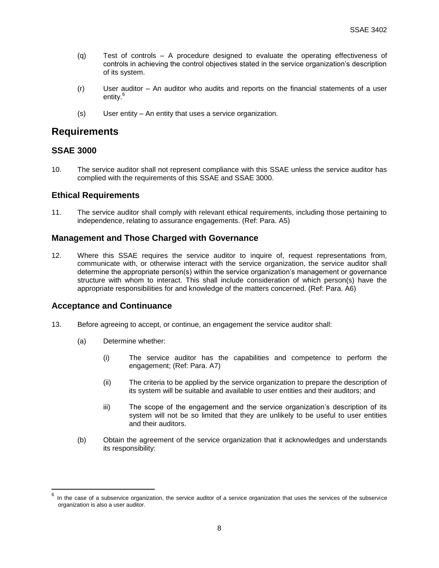- (q) Test of controls A procedure designed to evaluate the operating effectiveness of controls in achieving the control objectives stated in the service organization's description of its system.
- (r) User auditor An auditor who audits and reports on the financial statements of a user entity.<sup>6</sup>
- (s) User entity An entity that uses a service organization.

# **Requirements**

## **SSAE 3000**

 $\overline{a}$ 

10. The service auditor shall not represent compliance with this SSAE unless the service auditor has complied with the requirements of this SSAE and SSAE 3000.

## **Ethical Requirements**

11. The service auditor shall comply with relevant ethical requirements, including those pertaining to independence, relating to assurance engagements. (Ref: Para. A5)

### **Management and Those Charged with Governance**

12. Where this SSAE requires the service auditor to inquire of, request representations from, communicate with, or otherwise interact with the service organization, the service auditor shall determine the appropriate person(s) within the service organization's management or governance structure with whom to interact. This shall include consideration of which person(s) have the appropriate responsibilities for and knowledge of the matters concerned. (Ref: Para. A6)

## **Acceptance and Continuance**

- 13. Before agreeing to accept, or continue, an engagement the service auditor shall:
	- (a) Determine whether:
		- (i) The service auditor has the capabilities and competence to perform the engagement; (Ref: Para. A7)
		- (ii) The criteria to be applied by the service organization to prepare the description of its system will be suitable and available to user entities and their auditors; and
		- iii) The scope of the engagement and the service organization's description of its system will not be so limited that they are unlikely to be useful to user entities and their auditors.
	- (b) Obtain the agreement of the service organization that it acknowledges and understands its responsibility:

<sup>6</sup> In the case of a subservice organization, the service auditor of a service organization that uses the services of the subservice organization is also a user auditor.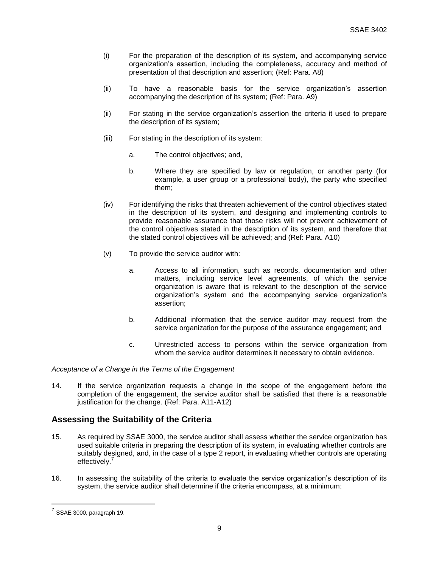- (i) For the preparation of the description of its system, and accompanying service organization's assertion, including the completeness, accuracy and method of presentation of that description and assertion; (Ref: Para. A8)
- (ii) To have a reasonable basis for the service organization's assertion accompanying the description of its system; (Ref: Para. A9)
- (ii) For stating in the service organization's assertion the criteria it used to prepare the description of its system;
- (iii) For stating in the description of its system:
	- a. The control objectives; and,
	- b. Where they are specified by law or regulation, or another party (for example, a user group or a professional body), the party who specified them;
- (iv) For identifying the risks that threaten achievement of the control objectives stated in the description of its system, and designing and implementing controls to provide reasonable assurance that those risks will not prevent achievement of the control objectives stated in the description of its system, and therefore that the stated control objectives will be achieved; and (Ref: Para. A10)
- (v) To provide the service auditor with:
	- a. Access to all information, such as records, documentation and other matters, including service level agreements, of which the service organization is aware that is relevant to the description of the service organization's system and the accompanying service organization's assertion;
	- b. Additional information that the service auditor may request from the service organization for the purpose of the assurance engagement; and
	- c. Unrestricted access to persons within the service organization from whom the service auditor determines it necessary to obtain evidence.

#### *Acceptance of a Change in the Terms of the Engagement*

14. If the service organization requests a change in the scope of the engagement before the completion of the engagement, the service auditor shall be satisfied that there is a reasonable justification for the change. (Ref: Para. A11-A12)

# **Assessing the Suitability of the Criteria**

- 15. As required by SSAE 3000, the service auditor shall assess whether the service organization has used suitable criteria in preparing the description of its system, in evaluating whether controls are suitably designed, and, in the case of a type 2 report, in evaluating whether controls are operating effectively.<sup>7</sup>
- 16. In assessing the suitability of the criteria to evaluate the service organization's description of its system, the service auditor shall determine if the criteria encompass, at a minimum:

 7 SSAE 3000, paragraph 19.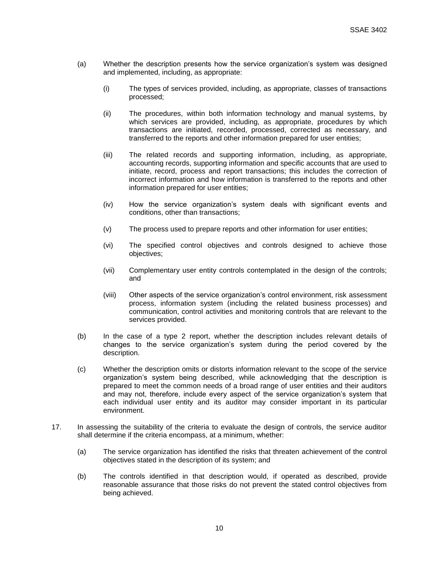- (a) Whether the description presents how the service organization's system was designed and implemented, including, as appropriate:
	- (i) The types of services provided, including, as appropriate, classes of transactions processed;
	- (ii) The procedures, within both information technology and manual systems, by which services are provided, including, as appropriate, procedures by which transactions are initiated, recorded, processed, corrected as necessary, and transferred to the reports and other information prepared for user entities;
	- (iii) The related records and supporting information, including, as appropriate, accounting records, supporting information and specific accounts that are used to initiate, record, process and report transactions; this includes the correction of incorrect information and how information is transferred to the reports and other information prepared for user entities;
	- (iv) How the service organization's system deals with significant events and conditions, other than transactions;
	- (v) The process used to prepare reports and other information for user entities;
	- (vi) The specified control objectives and controls designed to achieve those objectives;
	- (vii) Complementary user entity controls contemplated in the design of the controls; and
	- (viii) Other aspects of the service organization's control environment, risk assessment process, information system (including the related business processes) and communication, control activities and monitoring controls that are relevant to the services provided.
- (b) In the case of a type 2 report, whether the description includes relevant details of changes to the service organization's system during the period covered by the description.
- (c) Whether the description omits or distorts information relevant to the scope of the service organization's system being described, while acknowledging that the description is prepared to meet the common needs of a broad range of user entities and their auditors and may not, therefore, include every aspect of the service organization's system that each individual user entity and its auditor may consider important in its particular environment.
- 17. In assessing the suitability of the criteria to evaluate the design of controls, the service auditor shall determine if the criteria encompass, at a minimum, whether:
	- (a) The service organization has identified the risks that threaten achievement of the control objectives stated in the description of its system; and
	- (b) The controls identified in that description would, if operated as described, provide reasonable assurance that those risks do not prevent the stated control objectives from being achieved.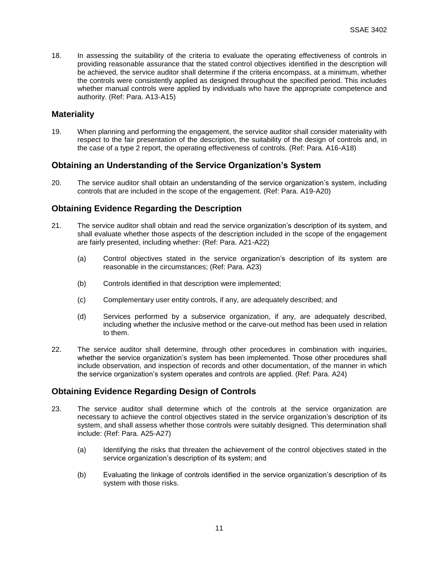18. In assessing the suitability of the criteria to evaluate the operating effectiveness of controls in providing reasonable assurance that the stated control objectives identified in the description will be achieved, the service auditor shall determine if the criteria encompass, at a minimum, whether the controls were consistently applied as designed throughout the specified period. This includes whether manual controls were applied by individuals who have the appropriate competence and authority. (Ref: Para. A13-A15)

### **Materiality**

19. When planning and performing the engagement, the service auditor shall consider materiality with respect to the fair presentation of the description, the suitability of the design of controls and, in the case of a type 2 report, the operating effectiveness of controls. (Ref: Para. A16-A18)

## **Obtaining an Understanding of the Service Organization's System**

20. The service auditor shall obtain an understanding of the service organization's system, including controls that are included in the scope of the engagement. (Ref: Para. A19-A20)

# **Obtaining Evidence Regarding the Description**

- 21. The service auditor shall obtain and read the service organization's description of its system, and shall evaluate whether those aspects of the description included in the scope of the engagement are fairly presented, including whether: (Ref: Para. A21-A22)
	- (a) Control objectives stated in the service organization's description of its system are reasonable in the circumstances; (Ref: Para. A23)
	- (b) Controls identified in that description were implemented;
	- (c) Complementary user entity controls, if any, are adequately described; and
	- (d) Services performed by a subservice organization, if any, are adequately described, including whether the inclusive method or the carve-out method has been used in relation to them.
- 22. The service auditor shall determine, through other procedures in combination with inquiries, whether the service organization's system has been implemented. Those other procedures shall include observation, and inspection of records and other documentation, of the manner in which the service organization's system operates and controls are applied. (Ref: Para. A24)

## **Obtaining Evidence Regarding Design of Controls**

- 23. The service auditor shall determine which of the controls at the service organization are necessary to achieve the control objectives stated in the service organization's description of its system, and shall assess whether those controls were suitably designed. This determination shall include: (Ref: Para. A25-A27)
	- (a) Identifying the risks that threaten the achievement of the control objectives stated in the service organization's description of its system; and
	- (b) Evaluating the linkage of controls identified in the service organization's description of its system with those risks.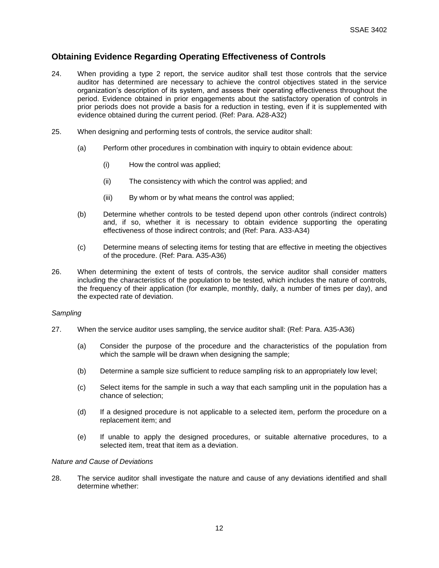# **Obtaining Evidence Regarding Operating Effectiveness of Controls**

- 24. When providing a type 2 report, the service auditor shall test those controls that the service auditor has determined are necessary to achieve the control objectives stated in the service organization's description of its system, and assess their operating effectiveness throughout the period. Evidence obtained in prior engagements about the satisfactory operation of controls in prior periods does not provide a basis for a reduction in testing, even if it is supplemented with evidence obtained during the current period. (Ref: Para. A28-A32)
- 25. When designing and performing tests of controls, the service auditor shall:
	- (a) Perform other procedures in combination with inquiry to obtain evidence about:
		- (i) How the control was applied;
		- (ii) The consistency with which the control was applied; and
		- (iii) By whom or by what means the control was applied;
	- (b) Determine whether controls to be tested depend upon other controls (indirect controls) and, if so, whether it is necessary to obtain evidence supporting the operating effectiveness of those indirect controls; and (Ref: Para. A33-A34)
	- (c) Determine means of selecting items for testing that are effective in meeting the objectives of the procedure. (Ref: Para. A35-A36)
- 26. When determining the extent of tests of controls, the service auditor shall consider matters including the characteristics of the population to be tested, which includes the nature of controls, the frequency of their application (for example, monthly, daily, a number of times per day), and the expected rate of deviation.

#### *Sampling*

- 27. When the service auditor uses sampling, the service auditor shall: (Ref: Para. A35-A36)
	- (a) Consider the purpose of the procedure and the characteristics of the population from which the sample will be drawn when designing the sample;
	- (b) Determine a sample size sufficient to reduce sampling risk to an appropriately low level;
	- (c) Select items for the sample in such a way that each sampling unit in the population has a chance of selection;
	- (d) If a designed procedure is not applicable to a selected item, perform the procedure on a replacement item; and
	- (e) If unable to apply the designed procedures, or suitable alternative procedures, to a selected item, treat that item as a deviation.

#### *Nature and Cause of Deviations*

28. The service auditor shall investigate the nature and cause of any deviations identified and shall determine whether: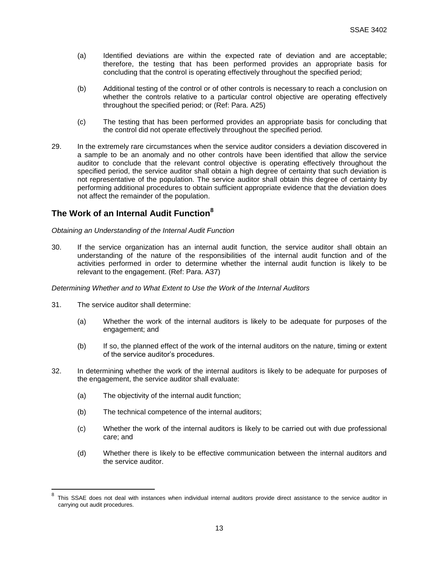- (a) Identified deviations are within the expected rate of deviation and are acceptable; therefore, the testing that has been performed provides an appropriate basis for concluding that the control is operating effectively throughout the specified period;
- (b) Additional testing of the control or of other controls is necessary to reach a conclusion on whether the controls relative to a particular control objective are operating effectively throughout the specified period; or (Ref: Para. A25)
- (c) The testing that has been performed provides an appropriate basis for concluding that the control did not operate effectively throughout the specified period.
- 29. In the extremely rare circumstances when the service auditor considers a deviation discovered in a sample to be an anomaly and no other controls have been identified that allow the service auditor to conclude that the relevant control objective is operating effectively throughout the specified period, the service auditor shall obtain a high degree of certainty that such deviation is not representative of the population. The service auditor shall obtain this degree of certainty by performing additional procedures to obtain sufficient appropriate evidence that the deviation does not affect the remainder of the population.

# **The Work of an Internal Audit Function<sup>8</sup>**

#### *Obtaining an Understanding of the Internal Audit Function*

30. If the service organization has an internal audit function, the service auditor shall obtain an understanding of the nature of the responsibilities of the internal audit function and of the activities performed in order to determine whether the internal audit function is likely to be relevant to the engagement. (Ref: Para. A37)

*Determining Whether and to What Extent to Use the Work of the Internal Auditors* 

31. The service auditor shall determine:

- (a) Whether the work of the internal auditors is likely to be adequate for purposes of the engagement; and
- (b) If so, the planned effect of the work of the internal auditors on the nature, timing or extent of the service auditor's procedures.
- 32. In determining whether the work of the internal auditors is likely to be adequate for purposes of the engagement, the service auditor shall evaluate:
	- (a) The objectivity of the internal audit function;
	- (b) The technical competence of the internal auditors;
	- (c) Whether the work of the internal auditors is likely to be carried out with due professional care; and
	- (d) Whether there is likely to be effective communication between the internal auditors and the service auditor.

<sup>8</sup> This SSAE does not deal with instances when individual internal auditors provide direct assistance to the service auditor in carrying out audit procedures.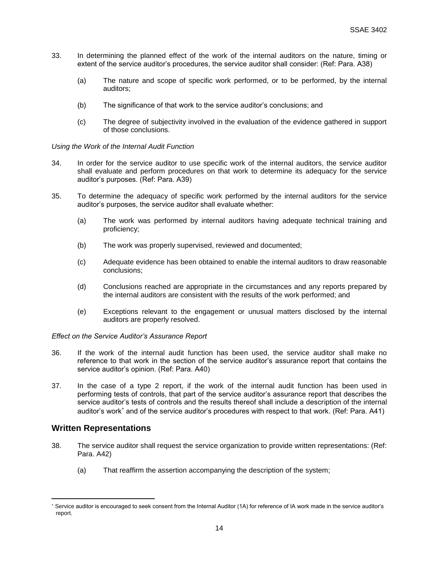- 33. In determining the planned effect of the work of the internal auditors on the nature, timing or extent of the service auditor's procedures, the service auditor shall consider: (Ref: Para. A38)
	- (a) The nature and scope of specific work performed, or to be performed, by the internal auditors;
	- (b) The significance of that work to the service auditor's conclusions; and
	- (c) The degree of subjectivity involved in the evaluation of the evidence gathered in support of those conclusions.

#### *Using the Work of the Internal Audit Function*

- 34. In order for the service auditor to use specific work of the internal auditors, the service auditor shall evaluate and perform procedures on that work to determine its adequacy for the service auditor's purposes. (Ref: Para. A39)
- 35. To determine the adequacy of specific work performed by the internal auditors for the service auditor's purposes, the service auditor shall evaluate whether:
	- (a) The work was performed by internal auditors having adequate technical training and proficiency;
	- (b) The work was properly supervised, reviewed and documented;
	- (c) Adequate evidence has been obtained to enable the internal auditors to draw reasonable conclusions;
	- (d) Conclusions reached are appropriate in the circumstances and any reports prepared by the internal auditors are consistent with the results of the work performed; and
	- (e) Exceptions relevant to the engagement or unusual matters disclosed by the internal auditors are properly resolved.

#### *Effect on the Service Auditor's Assurance Report*

- 36. If the work of the internal audit function has been used, the service auditor shall make no reference to that work in the section of the service auditor's assurance report that contains the service auditor's opinion. (Ref: Para. A40)
- 37. In the case of a type 2 report, if the work of the internal audit function has been used in performing tests of controls, that part of the service auditor's assurance report that describes the service auditor's tests of controls and the results thereof shall include a description of the internal auditor's work<sup>\*</sup> and of the service auditor's procedures with respect to that work. (Ref: Para. A41)

## **Written Representations**

- 38. The service auditor shall request the service organization to provide written representations: (Ref: Para. A42)
	- (a) That reaffirm the assertion accompanying the description of the system;

Service auditor is encouraged to seek consent from the Internal Auditor (1A) for reference of IA work made in the service auditor's report.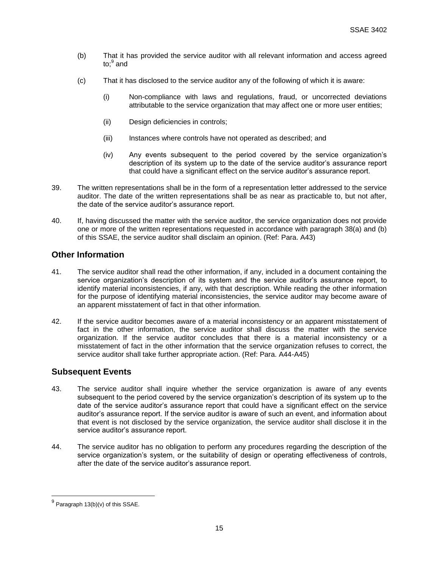- (b) That it has provided the service auditor with all relevant information and access agreed to;<sup>9</sup> and
- (c) That it has disclosed to the service auditor any of the following of which it is aware:
	- (i) Non-compliance with laws and regulations, fraud, or uncorrected deviations attributable to the service organization that may affect one or more user entities;
	- (ii) Design deficiencies in controls;
	- (iii) Instances where controls have not operated as described; and
	- (iv) Any events subsequent to the period covered by the service organization's description of its system up to the date of the service auditor's assurance report that could have a significant effect on the service auditor's assurance report.
- 39. The written representations shall be in the form of a representation letter addressed to the service auditor. The date of the written representations shall be as near as practicable to, but not after, the date of the service auditor's assurance report.
- 40. If, having discussed the matter with the service auditor, the service organization does not provide one or more of the written representations requested in accordance with paragraph 38(a) and (b) of this SSAE, the service auditor shall disclaim an opinion. (Ref: Para. A43)

## **Other Information**

- 41. The service auditor shall read the other information, if any, included in a document containing the service organization's description of its system and the service auditor's assurance report, to identify material inconsistencies, if any, with that description. While reading the other information for the purpose of identifying material inconsistencies, the service auditor may become aware of an apparent misstatement of fact in that other information.
- 42. If the service auditor becomes aware of a material inconsistency or an apparent misstatement of fact in the other information, the service auditor shall discuss the matter with the service organization. If the service auditor concludes that there is a material inconsistency or a misstatement of fact in the other information that the service organization refuses to correct, the service auditor shall take further appropriate action. (Ref: Para. A44-A45)

# **Subsequent Events**

- 43. The service auditor shall inquire whether the service organization is aware of any events subsequent to the period covered by the service organization's description of its system up to the date of the service auditor's assurance report that could have a significant effect on the service auditor's assurance report. If the service auditor is aware of such an event, and information about that event is not disclosed by the service organization, the service auditor shall disclose it in the service auditor's assurance report.
- 44. The service auditor has no obligation to perform any procedures regarding the description of the service organization's system, or the suitability of design or operating effectiveness of controls, after the date of the service auditor's assurance report.

 $^{9}$  Paragraph 13(b)(v) of this SSAE.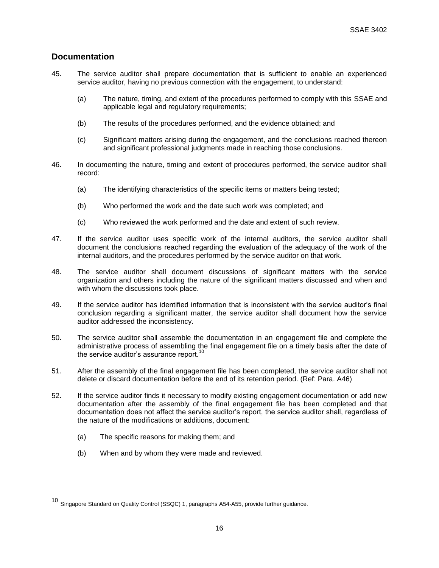# **Documentation**

- 45. The service auditor shall prepare documentation that is sufficient to enable an experienced service auditor, having no previous connection with the engagement, to understand:
	- (a) The nature, timing, and extent of the procedures performed to comply with this SSAE and applicable legal and regulatory requirements;
	- (b) The results of the procedures performed, and the evidence obtained; and
	- (c) Significant matters arising during the engagement, and the conclusions reached thereon and significant professional judgments made in reaching those conclusions.
- 46. In documenting the nature, timing and extent of procedures performed, the service auditor shall record:
	- (a) The identifying characteristics of the specific items or matters being tested;
	- (b) Who performed the work and the date such work was completed; and
	- (c) Who reviewed the work performed and the date and extent of such review.
- 47. If the service auditor uses specific work of the internal auditors, the service auditor shall document the conclusions reached regarding the evaluation of the adequacy of the work of the internal auditors, and the procedures performed by the service auditor on that work.
- 48. The service auditor shall document discussions of significant matters with the service organization and others including the nature of the significant matters discussed and when and with whom the discussions took place.
- 49. If the service auditor has identified information that is inconsistent with the service auditor's final conclusion regarding a significant matter, the service auditor shall document how the service auditor addressed the inconsistency.
- 50. The service auditor shall assemble the documentation in an engagement file and complete the administrative process of assembling the final engagement file on a timely basis after the date of the service auditor's assurance report.<sup>10</sup>
- 51. After the assembly of the final engagement file has been completed, the service auditor shall not delete or discard documentation before the end of its retention period. (Ref: Para. A46)
- 52. If the service auditor finds it necessary to modify existing engagement documentation or add new documentation after the assembly of the final engagement file has been completed and that documentation does not affect the service auditor's report, the service auditor shall, regardless of the nature of the modifications or additions, document:
	- (a) The specific reasons for making them; and

 $\overline{a}$ 

(b) When and by whom they were made and reviewed.

<sup>10</sup> Singapore Standard on Quality Control (SSQC) 1, paragraphs A54-A55, provide further guidance.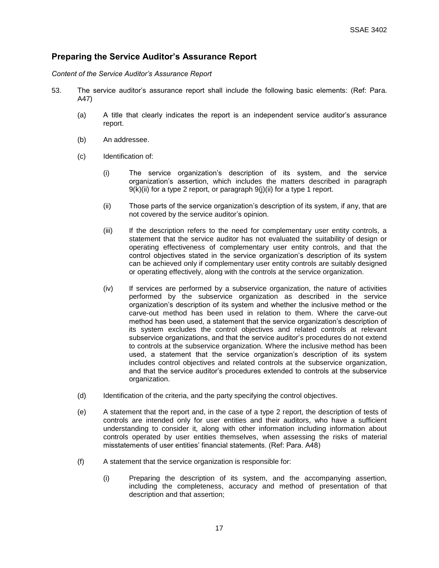# **Preparing the Service Auditor's Assurance Report**

*Content of the Service Auditor's Assurance Report* 

- 53. The service auditor's assurance report shall include the following basic elements: (Ref: Para. A47)
	- (a) A title that clearly indicates the report is an independent service auditor's assurance report.
	- (b) An addressee.
	- (c) Identification of:
		- (i) The service organization's description of its system, and the service organization's assertion, which includes the matters described in paragraph  $9(k)(ii)$  for a type 2 report, or paragraph  $9(j)(ii)$  for a type 1 report.
		- (ii) Those parts of the service organization's description of its system, if any, that are not covered by the service auditor's opinion.
		- (iii) If the description refers to the need for complementary user entity controls, a statement that the service auditor has not evaluated the suitability of design or operating effectiveness of complementary user entity controls, and that the control objectives stated in the service organization's description of its system can be achieved only if complementary user entity controls are suitably designed or operating effectively, along with the controls at the service organization.
		- (iv) If services are performed by a subservice organization, the nature of activities performed by the subservice organization as described in the service organization's description of its system and whether the inclusive method or the carve-out method has been used in relation to them. Where the carve-out method has been used, a statement that the service organization's description of its system excludes the control objectives and related controls at relevant subservice organizations, and that the service auditor's procedures do not extend to controls at the subservice organization. Where the inclusive method has been used, a statement that the service organization's description of its system includes control objectives and related controls at the subservice organization, and that the service auditor's procedures extended to controls at the subservice organization.
	- (d) Identification of the criteria, and the party specifying the control objectives.
	- (e) A statement that the report and, in the case of a type 2 report, the description of tests of controls are intended only for user entities and their auditors, who have a sufficient understanding to consider it, along with other information including information about controls operated by user entities themselves, when assessing the risks of material misstatements of user entities' financial statements. (Ref: Para. A48)
	- (f) A statement that the service organization is responsible for:
		- (i) Preparing the description of its system, and the accompanying assertion, including the completeness, accuracy and method of presentation of that description and that assertion;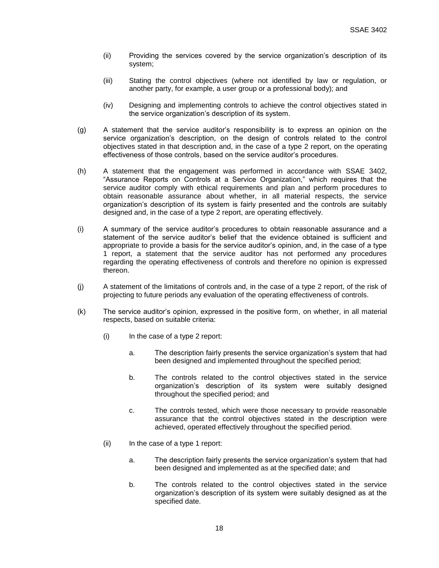- (ii) Providing the services covered by the service organization's description of its system;
- (iii) Stating the control objectives (where not identified by law or regulation, or another party, for example, a user group or a professional body); and
- (iv) Designing and implementing controls to achieve the control objectives stated in the service organization's description of its system.
- (g) A statement that the service auditor's responsibility is to express an opinion on the service organization's description, on the design of controls related to the control objectives stated in that description and, in the case of a type 2 report, on the operating effectiveness of those controls, based on the service auditor's procedures.
- (h) A statement that the engagement was performed in accordance with SSAE 3402, "Assurance Reports on Controls at a Service Organization," which requires that the service auditor comply with ethical requirements and plan and perform procedures to obtain reasonable assurance about whether, in all material respects, the service organization's description of its system is fairly presented and the controls are suitably designed and, in the case of a type 2 report, are operating effectively.
- (i) A summary of the service auditor's procedures to obtain reasonable assurance and a statement of the service auditor's belief that the evidence obtained is sufficient and appropriate to provide a basis for the service auditor's opinion, and, in the case of a type 1 report, a statement that the service auditor has not performed any procedures regarding the operating effectiveness of controls and therefore no opinion is expressed thereon.
- (j) A statement of the limitations of controls and, in the case of a type 2 report, of the risk of projecting to future periods any evaluation of the operating effectiveness of controls.
- (k) The service auditor's opinion, expressed in the positive form, on whether, in all material respects, based on suitable criteria:
	- $(i)$  In the case of a type 2 report:
		- a. The description fairly presents the service organization's system that had been designed and implemented throughout the specified period;
		- b. The controls related to the control objectives stated in the service organization's description of its system were suitably designed throughout the specified period; and
		- c. The controls tested, which were those necessary to provide reasonable assurance that the control objectives stated in the description were achieved, operated effectively throughout the specified period.
	- (ii) In the case of a type 1 report:
		- a. The description fairly presents the service organization's system that had been designed and implemented as at the specified date; and
		- b. The controls related to the control objectives stated in the service organization's description of its system were suitably designed as at the specified date.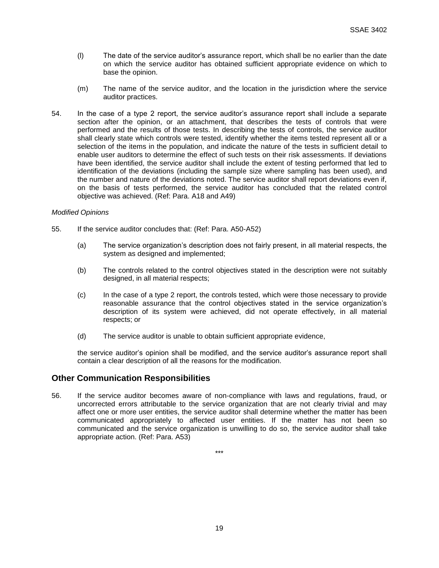- (l) The date of the service auditor's assurance report, which shall be no earlier than the date on which the service auditor has obtained sufficient appropriate evidence on which to base the opinion.
- (m) The name of the service auditor, and the location in the jurisdiction where the service auditor practices.
- 54. In the case of a type 2 report, the service auditor's assurance report shall include a separate section after the opinion, or an attachment, that describes the tests of controls that were performed and the results of those tests. In describing the tests of controls, the service auditor shall clearly state which controls were tested, identify whether the items tested represent all or a selection of the items in the population, and indicate the nature of the tests in sufficient detail to enable user auditors to determine the effect of such tests on their risk assessments. If deviations have been identified, the service auditor shall include the extent of testing performed that led to identification of the deviations (including the sample size where sampling has been used), and the number and nature of the deviations noted. The service auditor shall report deviations even if, on the basis of tests performed, the service auditor has concluded that the related control objective was achieved. (Ref: Para. A18 and A49)

#### *Modified Opinions*

- 55. If the service auditor concludes that: (Ref: Para. A50-A52)
	- (a) The service organization's description does not fairly present, in all material respects, the system as designed and implemented:
	- (b) The controls related to the control objectives stated in the description were not suitably designed, in all material respects;
	- (c) In the case of a type 2 report, the controls tested, which were those necessary to provide reasonable assurance that the control objectives stated in the service organization's description of its system were achieved, did not operate effectively, in all material respects; or
	- (d) The service auditor is unable to obtain sufficient appropriate evidence,

the service auditor's opinion shall be modified, and the service auditor's assurance report shall contain a clear description of all the reasons for the modification.

## **Other Communication Responsibilities**

56. If the service auditor becomes aware of non-compliance with laws and regulations, fraud, or uncorrected errors attributable to the service organization that are not clearly trivial and may affect one or more user entities, the service auditor shall determine whether the matter has been communicated appropriately to affected user entities. If the matter has not been so communicated and the service organization is unwilling to do so, the service auditor shall take appropriate action. (Ref: Para. A53)

\*\*\*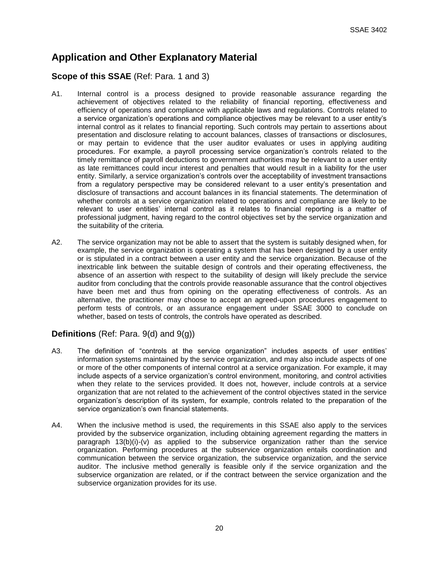# **Application and Other Explanatory Material**

# **Scope of this SSAE** (Ref: Para. 1 and 3)

- A1. Internal control is a process designed to provide reasonable assurance regarding the achievement of objectives related to the reliability of financial reporting, effectiveness and efficiency of operations and compliance with applicable laws and regulations. Controls related to a service organization's operations and compliance objectives may be relevant to a user entity's internal control as it relates to financial reporting. Such controls may pertain to assertions about presentation and disclosure relating to account balances, classes of transactions or disclosures, or may pertain to evidence that the user auditor evaluates or uses in applying auditing procedures. For example, a payroll processing service organization's controls related to the timely remittance of payroll deductions to government authorities may be relevant to a user entity as late remittances could incur interest and penalties that would result in a liability for the user entity. Similarly, a service organization's controls over the acceptability of investment transactions from a regulatory perspective may be considered relevant to a user entity's presentation and disclosure of transactions and account balances in its financial statements. The determination of whether controls at a service organization related to operations and compliance are likely to be relevant to user entities' internal control as it relates to financial reporting is a matter of professional judgment, having regard to the control objectives set by the service organization and the suitability of the criteria*.*
- A2. The service organization may not be able to assert that the system is suitably designed when, for example, the service organization is operating a system that has been designed by a user entity or is stipulated in a contract between a user entity and the service organization. Because of the inextricable link between the suitable design of controls and their operating effectiveness, the absence of an assertion with respect to the suitability of design will likely preclude the service auditor from concluding that the controls provide reasonable assurance that the control objectives have been met and thus from opining on the operating effectiveness of controls. As an alternative, the practitioner may choose to accept an agreed-upon procedures engagement to perform tests of controls, or an assurance engagement under SSAE 3000 to conclude on whether, based on tests of controls, the controls have operated as described.

# **Definitions** (Ref: Para. 9(d) and 9(g))

- A3. The definition of "controls at the service organization" includes aspects of user entities' information systems maintained by the service organization, and may also include aspects of one or more of the other components of internal control at a service organization. For example, it may include aspects of a service organization's control environment, monitoring, and control activities when they relate to the services provided. It does not, however, include controls at a service organization that are not related to the achievement of the control objectives stated in the service organization's description of its system, for example, controls related to the preparation of the service organization's own financial statements.
- A4. When the inclusive method is used, the requirements in this SSAE also apply to the services provided by the subservice organization, including obtaining agreement regarding the matters in paragraph 13(b)(i)-(v) as applied to the subservice organization rather than the service organization. Performing procedures at the subservice organization entails coordination and communication between the service organization, the subservice organization, and the service auditor. The inclusive method generally is feasible only if the service organization and the subservice organization are related, or if the contract between the service organization and the subservice organization provides for its use.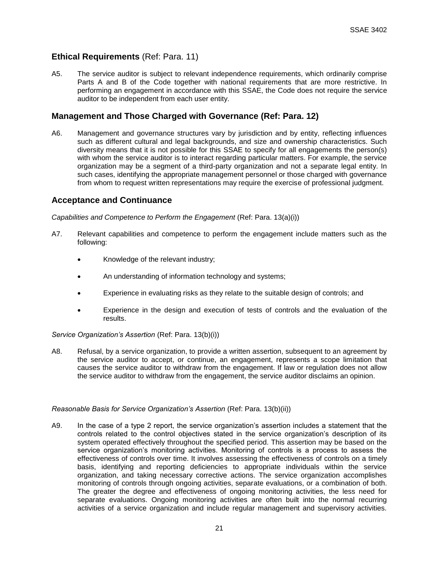# **Ethical Requirements** (Ref: Para. 11)

A5. The service auditor is subject to relevant independence requirements, which ordinarily comprise Parts A and B of the Code together with national requirements that are more restrictive. In performing an engagement in accordance with this SSAE, the Code does not require the service auditor to be independent from each user entity.

## **Management and Those Charged with Governance (Ref: Para. 12)**

A6. Management and governance structures vary by jurisdiction and by entity, reflecting influences such as different cultural and legal backgrounds, and size and ownership characteristics. Such diversity means that it is not possible for this SSAE to specify for all engagements the person(s) with whom the service auditor is to interact regarding particular matters. For example, the service organization may be a segment of a third-party organization and not a separate legal entity. In such cases, identifying the appropriate management personnel or those charged with governance from whom to request written representations may require the exercise of professional judgment.

## **Acceptance and Continuance**

*Capabilities and Competence to Perform the Engagement* (Ref: Para. 13(a)(i))

- A7. Relevant capabilities and competence to perform the engagement include matters such as the following:
	- Knowledge of the relevant industry;
	- An understanding of information technology and systems;
	- Experience in evaluating risks as they relate to the suitable design of controls; and
	- Experience in the design and execution of tests of controls and the evaluation of the results.

*Service Organization's Assertion* (Ref: Para. 13(b)(i))

A8. Refusal, by a service organization, to provide a written assertion, subsequent to an agreement by the service auditor to accept, or continue, an engagement, represents a scope limitation that causes the service auditor to withdraw from the engagement. If law or regulation does not allow the service auditor to withdraw from the engagement, the service auditor disclaims an opinion.

#### *Reasonable Basis for Service Organization's Assertion* (Ref: Para. 13(b)(ii))

A9. In the case of a type 2 report, the service organization's assertion includes a statement that the controls related to the control objectives stated in the service organization's description of its system operated effectively throughout the specified period. This assertion may be based on the service organization's monitoring activities. Monitoring of controls is a process to assess the effectiveness of controls over time. It involves assessing the effectiveness of controls on a timely basis, identifying and reporting deficiencies to appropriate individuals within the service organization, and taking necessary corrective actions. The service organization accomplishes monitoring of controls through ongoing activities, separate evaluations, or a combination of both. The greater the degree and effectiveness of ongoing monitoring activities, the less need for separate evaluations. Ongoing monitoring activities are often built into the normal recurring activities of a service organization and include regular management and supervisory activities.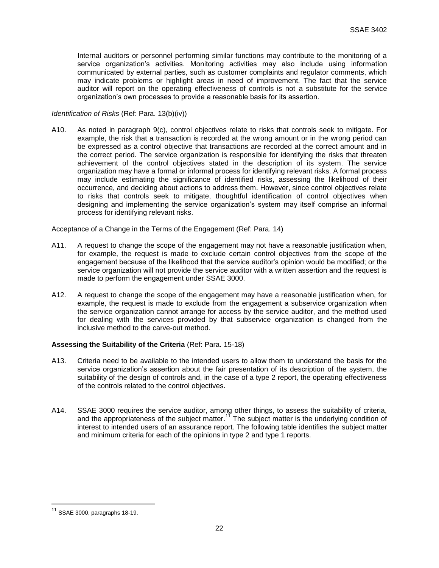Internal auditors or personnel performing similar functions may contribute to the monitoring of a service organization's activities. Monitoring activities may also include using information communicated by external parties, such as customer complaints and regulator comments, which may indicate problems or highlight areas in need of improvement. The fact that the service auditor will report on the operating effectiveness of controls is not a substitute for the service organization's own processes to provide a reasonable basis for its assertion.

#### *Identification of Risks* (Ref: Para. 13(b)(iv))

A10. As noted in paragraph 9(c), control objectives relate to risks that controls seek to mitigate. For example, the risk that a transaction is recorded at the wrong amount or in the wrong period can be expressed as a control objective that transactions are recorded at the correct amount and in the correct period. The service organization is responsible for identifying the risks that threaten achievement of the control objectives stated in the description of its system. The service organization may have a formal or informal process for identifying relevant risks. A formal process may include estimating the significance of identified risks, assessing the likelihood of their occurrence, and deciding about actions to address them. However, since control objectives relate to risks that controls seek to mitigate, thoughtful identification of control objectives when designing and implementing the service organization's system may itself comprise an informal process for identifying relevant risks.

Acceptance of a Change in the Terms of the Engagement (Ref: Para. 14)

- A11. A request to change the scope of the engagement may not have a reasonable justification when, for example, the request is made to exclude certain control objectives from the scope of the engagement because of the likelihood that the service auditor's opinion would be modified; or the service organization will not provide the service auditor with a written assertion and the request is made to perform the engagement under SSAE 3000.
- A12. A request to change the scope of the engagement may have a reasonable justification when, for example, the request is made to exclude from the engagement a subservice organization when the service organization cannot arrange for access by the service auditor, and the method used for dealing with the services provided by that subservice organization is changed from the inclusive method to the carve-out method.

#### **Assessing the Suitability of the Criteria** (Ref: Para. 15-18)

- A13. Criteria need to be available to the intended users to allow them to understand the basis for the service organization's assertion about the fair presentation of its description of the system, the suitability of the design of controls and, in the case of a type 2 report, the operating effectiveness of the controls related to the control objectives.
- A14. SSAE 3000 requires the service auditor, among other things, to assess the suitability of criteria, and the appropriateness of the subject matter.<sup>17</sup> The subject matter is the underlying condition of interest to intended users of an assurance report. The following table identifies the subject matter and minimum criteria for each of the opinions in type 2 and type 1 reports.

 $11$  SSAE 3000, paragraphs 18-19.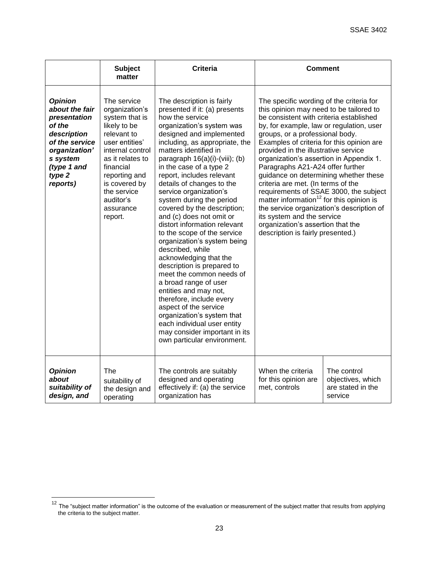|                                                                                                                                                               | <b>Subject</b><br>matter                                                                                                                                                                                                                    | <b>Criteria</b>                                                                                                                                                                                                                                                                                                                                                                                                                                                                                                                                                                                                                                                                                                                                                                                                                                                                     | <b>Comment</b>                                                                                                                                                                                                                                                                                                                                                                                                                                                                                                                                                                                                                                                                                                          |                                                                  |
|---------------------------------------------------------------------------------------------------------------------------------------------------------------|---------------------------------------------------------------------------------------------------------------------------------------------------------------------------------------------------------------------------------------------|-------------------------------------------------------------------------------------------------------------------------------------------------------------------------------------------------------------------------------------------------------------------------------------------------------------------------------------------------------------------------------------------------------------------------------------------------------------------------------------------------------------------------------------------------------------------------------------------------------------------------------------------------------------------------------------------------------------------------------------------------------------------------------------------------------------------------------------------------------------------------------------|-------------------------------------------------------------------------------------------------------------------------------------------------------------------------------------------------------------------------------------------------------------------------------------------------------------------------------------------------------------------------------------------------------------------------------------------------------------------------------------------------------------------------------------------------------------------------------------------------------------------------------------------------------------------------------------------------------------------------|------------------------------------------------------------------|
| <b>Opinion</b><br>about the fair<br>presentation<br>of the<br>description<br>of the service<br>organization'<br>s system<br>(type 1 and<br>type 2<br>reports) | The service<br>organization's<br>system that is<br>likely to be<br>relevant to<br>user entities'<br>internal control<br>as it relates to<br>financial<br>reporting and<br>is covered by<br>the service<br>auditor's<br>assurance<br>report. | The description is fairly<br>presented if it: (a) presents<br>how the service<br>organization's system was<br>designed and implemented<br>including, as appropriate, the<br>matters identified in<br>paragraph 16(a)(i)-(viii); (b)<br>in the case of a type 2<br>report, includes relevant<br>details of changes to the<br>service organization's<br>system during the period<br>covered by the description;<br>and (c) does not omit or<br>distort information relevant<br>to the scope of the service<br>organization's system being<br>described, while<br>acknowledging that the<br>description is prepared to<br>meet the common needs of<br>a broad range of user<br>entities and may not,<br>therefore, include every<br>aspect of the service<br>organization's system that<br>each individual user entity<br>may consider important in its<br>own particular environment. | The specific wording of the criteria for<br>this opinion may need to be tailored to<br>be consistent with criteria established<br>by, for example, law or regulation, user<br>groups, or a professional body.<br>Examples of criteria for this opinion are<br>provided in the illustrative service<br>organization's assertion in Appendix 1.<br>Paragraphs A21-A24 offer further<br>guidance on determining whether these<br>criteria are met. (In terms of the<br>requirements of SSAE 3000, the subject<br>matter information <sup>12</sup> for this opinion is<br>the service organization's description of<br>its system and the service<br>organization's assertion that the<br>description is fairly presented.) |                                                                  |
| <b>Opinion</b><br>about<br>suitability of<br>design, and                                                                                                      | The<br>suitability of<br>the design and<br>operating                                                                                                                                                                                        | The controls are suitably<br>designed and operating<br>effectively if: (a) the service<br>organization has                                                                                                                                                                                                                                                                                                                                                                                                                                                                                                                                                                                                                                                                                                                                                                          | When the criteria<br>for this opinion are<br>met, controls                                                                                                                                                                                                                                                                                                                                                                                                                                                                                                                                                                                                                                                              | The control<br>objectives, which<br>are stated in the<br>service |

 $12$  The "subject matter information" is the outcome of the evaluation or measurement of the subject matter that results from applying the criteria to the subject matter.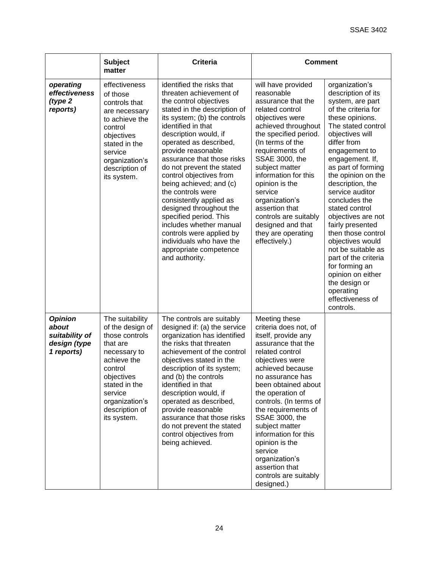|                                                                         | <b>Subject</b><br>matter                                                                                                                                                                                 | <b>Criteria</b>                                                                                                                                                                                                                                                                                                                                                                                                                                                                                                                                                                                    | <b>Comment</b>                                                                                                                                                                                                                                                                                                                                                                                                                    |                                                                                                                                                                                                                                                                                                                                                                                                                                                                                                                                                              |
|-------------------------------------------------------------------------|----------------------------------------------------------------------------------------------------------------------------------------------------------------------------------------------------------|----------------------------------------------------------------------------------------------------------------------------------------------------------------------------------------------------------------------------------------------------------------------------------------------------------------------------------------------------------------------------------------------------------------------------------------------------------------------------------------------------------------------------------------------------------------------------------------------------|-----------------------------------------------------------------------------------------------------------------------------------------------------------------------------------------------------------------------------------------------------------------------------------------------------------------------------------------------------------------------------------------------------------------------------------|--------------------------------------------------------------------------------------------------------------------------------------------------------------------------------------------------------------------------------------------------------------------------------------------------------------------------------------------------------------------------------------------------------------------------------------------------------------------------------------------------------------------------------------------------------------|
| operating<br>effectiveness<br>$(t$ ype 2<br>reports)                    | effectiveness<br>of those<br>controls that<br>are necessary<br>to achieve the<br>control<br>objectives<br>stated in the<br>service<br>organization's<br>description of<br>its system.                    | identified the risks that<br>threaten achievement of<br>the control objectives<br>stated in the description of<br>its system; (b) the controls<br>identified in that<br>description would, if<br>operated as described,<br>provide reasonable<br>assurance that those risks<br>do not prevent the stated<br>control objectives from<br>being achieved; and (c)<br>the controls were<br>consistently applied as<br>designed throughout the<br>specified period. This<br>includes whether manual<br>controls were applied by<br>individuals who have the<br>appropriate competence<br>and authority. | will have provided<br>reasonable<br>assurance that the<br>related control<br>objectives were<br>achieved throughout<br>the specified period.<br>(In terms of the<br>requirements of<br>SSAE 3000, the<br>subject matter<br>information for this<br>opinion is the<br>service<br>organization's<br>assertion that<br>controls are suitably<br>designed and that<br>they are operating<br>effectively.)                             | organization's<br>description of its<br>system, are part<br>of the criteria for<br>these opinions.<br>The stated control<br>objectives will<br>differ from<br>engagement to<br>engagement. If,<br>as part of forming<br>the opinion on the<br>description, the<br>service auditor<br>concludes the<br>stated control<br>objectives are not<br>fairly presented<br>then those control<br>objectives would<br>not be suitable as<br>part of the criteria<br>for forming an<br>opinion on either<br>the design or<br>operating<br>effectiveness of<br>controls. |
| <b>Opinion</b><br>about<br>suitability of<br>design (type<br>1 reports) | The suitability<br>of the design of<br>those controls<br>that are<br>necessary to<br>achieve the<br>control<br>objectives<br>stated in the<br>service<br>organization's<br>description of<br>its system. | The controls are suitably<br>designed if: (a) the service<br>organization has identified<br>the risks that threaten<br>achievement of the control<br>objectives stated in the<br>description of its system;<br>and (b) the controls<br>identified in that<br>description would, if<br>operated as described,<br>provide reasonable<br>assurance that those risks<br>do not prevent the stated<br>control objectives from<br>being achieved.                                                                                                                                                        | Meeting these<br>criteria does not, of<br>itself, provide any<br>assurance that the<br>related control<br>objectives were<br>achieved because<br>no assurance has<br>been obtained about<br>the operation of<br>controls. (In terms of<br>the requirements of<br>SSAE 3000, the<br>subject matter<br>information for this<br>opinion is the<br>service<br>organization's<br>assertion that<br>controls are suitably<br>designed.) |                                                                                                                                                                                                                                                                                                                                                                                                                                                                                                                                                              |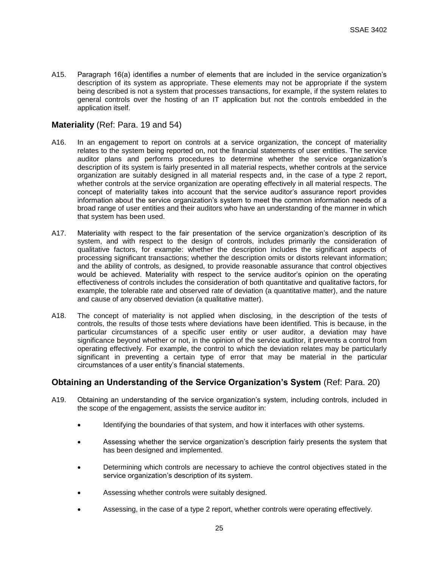A15. Paragraph 16(a) identifies a number of elements that are included in the service organization's description of its system as appropriate. These elements may not be appropriate if the system being described is not a system that processes transactions, for example, if the system relates to general controls over the hosting of an IT application but not the controls embedded in the application itself.

## **Materiality** (Ref: Para. 19 and 54)

- A16. In an engagement to report on controls at a service organization, the concept of materiality relates to the system being reported on, not the financial statements of user entities. The service auditor plans and performs procedures to determine whether the service organization's description of its system is fairly presented in all material respects, whether controls at the service organization are suitably designed in all material respects and, in the case of a type 2 report, whether controls at the service organization are operating effectively in all material respects. The concept of materiality takes into account that the service auditor's assurance report provides information about the service organization's system to meet the common information needs of a broad range of user entities and their auditors who have an understanding of the manner in which that system has been used.
- A17. Materiality with respect to the fair presentation of the service organization's description of its system, and with respect to the design of controls, includes primarily the consideration of qualitative factors, for example: whether the description includes the significant aspects of processing significant transactions; whether the description omits or distorts relevant information; and the ability of controls, as designed, to provide reasonable assurance that control objectives would be achieved. Materiality with respect to the service auditor's opinion on the operating effectiveness of controls includes the consideration of both quantitative and qualitative factors, for example, the tolerable rate and observed rate of deviation (a quantitative matter), and the nature and cause of any observed deviation (a qualitative matter).
- A18. The concept of materiality is not applied when disclosing, in the description of the tests of controls, the results of those tests where deviations have been identified. This is because, in the particular circumstances of a specific user entity or user auditor, a deviation may have significance beyond whether or not, in the opinion of the service auditor, it prevents a control from operating effectively. For example, the control to which the deviation relates may be particularly significant in preventing a certain type of error that may be material in the particular circumstances of a user entity's financial statements.

## **Obtaining an Understanding of the Service Organization's System** (Ref: Para. 20)

- A19. Obtaining an understanding of the service organization's system, including controls, included in the scope of the engagement, assists the service auditor in:
	- Identifying the boundaries of that system, and how it interfaces with other systems.
	- Assessing whether the service organization's description fairly presents the system that has been designed and implemented.
	- Determining which controls are necessary to achieve the control objectives stated in the service organization's description of its system.
	- Assessing whether controls were suitably designed.
	- Assessing, in the case of a type 2 report, whether controls were operating effectively.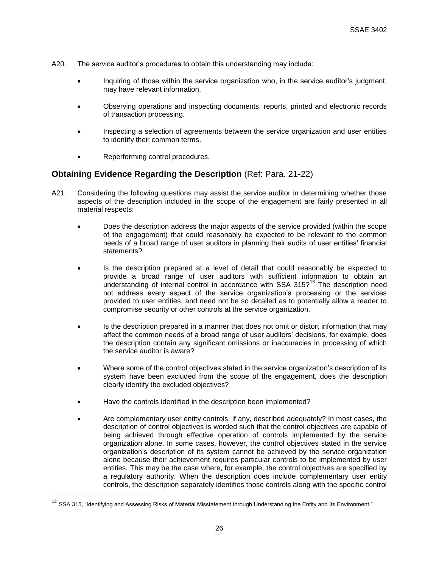- A20. The service auditor's procedures to obtain this understanding may include:
	- Inquiring of those within the service organization who, in the service auditor's judgment, may have relevant information.
	- Observing operations and inspecting documents, reports, printed and electronic records of transaction processing.
	- Inspecting a selection of agreements between the service organization and user entities to identify their common terms.
	- Reperforming control procedures.

 $\overline{a}$ 

# **Obtaining Evidence Regarding the Description** (Ref: Para. 21-22)

- A21. Considering the following questions may assist the service auditor in determining whether those aspects of the description included in the scope of the engagement are fairly presented in all material respects:
	- Does the description address the major aspects of the service provided (within the scope of the engagement) that could reasonably be expected to be relevant to the common needs of a broad range of user auditors in planning their audits of user entities' financial statements?
	- Is the description prepared at a level of detail that could reasonably be expected to provide a broad range of user auditors with sufficient information to obtain an understanding of internal control in accordance with SSA 315?<sup>13</sup> The description need not address every aspect of the service organization's processing or the services provided to user entities, and need not be so detailed as to potentially allow a reader to compromise security or other controls at the service organization.
	- Is the description prepared in a manner that does not omit or distort information that may affect the common needs of a broad range of user auditors' decisions, for example, does the description contain any significant omissions or inaccuracies in processing of which the service auditor is aware?
	- Where some of the control objectives stated in the service organization's description of its system have been excluded from the scope of the engagement, does the description clearly identify the excluded objectives?
	- Have the controls identified in the description been implemented?
	- Are complementary user entity controls, if any, described adequately? In most cases, the description of control objectives is worded such that the control objectives are capable of being achieved through effective operation of controls implemented by the service organization alone. In some cases, however, the control objectives stated in the service organization's description of its system cannot be achieved by the service organization alone because their achievement requires particular controls to be implemented by user entities. This may be the case where, for example, the control objectives are specified by a regulatory authority. When the description does include complementary user entity controls, the description separately identifies those controls along with the specific control

<sup>&</sup>lt;sup>13</sup> SSA 315, "Identifying and Assessing Risks of Material Misstatement through Understanding the Entity and Its Environment."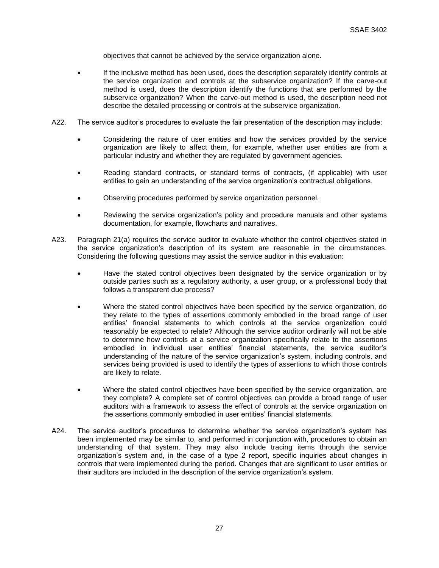objectives that cannot be achieved by the service organization alone.

- If the inclusive method has been used, does the description separately identify controls at the service organization and controls at the subservice organization? If the carve-out method is used, does the description identify the functions that are performed by the subservice organization? When the carve-out method is used, the description need not describe the detailed processing or controls at the subservice organization.
- A22. The service auditor's procedures to evaluate the fair presentation of the description may include:
	- Considering the nature of user entities and how the services provided by the service organization are likely to affect them, for example, whether user entities are from a particular industry and whether they are regulated by government agencies.
	- Reading standard contracts, or standard terms of contracts, (if applicable) with user entities to gain an understanding of the service organization's contractual obligations.
	- Observing procedures performed by service organization personnel.
	- Reviewing the service organization's policy and procedure manuals and other systems documentation, for example, flowcharts and narratives.
- A23. Paragraph 21(a) requires the service auditor to evaluate whether the control objectives stated in the service organization's description of its system are reasonable in the circumstances. Considering the following questions may assist the service auditor in this evaluation:
	- Have the stated control objectives been designated by the service organization or by outside parties such as a regulatory authority, a user group, or a professional body that follows a transparent due process?
	- Where the stated control objectives have been specified by the service organization, do they relate to the types of assertions commonly embodied in the broad range of user entities' financial statements to which controls at the service organization could reasonably be expected to relate? Although the service auditor ordinarily will not be able to determine how controls at a service organization specifically relate to the assertions embodied in individual user entities' financial statements, the service auditor's understanding of the nature of the service organization's system, including controls, and services being provided is used to identify the types of assertions to which those controls are likely to relate.
	- Where the stated control objectives have been specified by the service organization, are they complete? A complete set of control objectives can provide a broad range of user auditors with a framework to assess the effect of controls at the service organization on the assertions commonly embodied in user entities' financial statements.
- A24. The service auditor's procedures to determine whether the service organization's system has been implemented may be similar to, and performed in conjunction with, procedures to obtain an understanding of that system. They may also include tracing items through the service organization's system and, in the case of a type 2 report, specific inquiries about changes in controls that were implemented during the period. Changes that are significant to user entities or their auditors are included in the description of the service organization's system.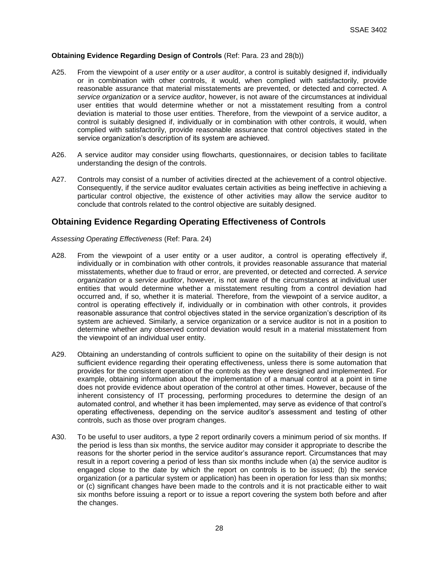#### **Obtaining Evidence Regarding Design of Controls** (Ref: Para. 23 and 28(b))

- A25. From the viewpoint of a *user entity* or a *user auditor*, a control is suitably designed if, individually or in combination with other controls, it would, when complied with satisfactorily, provide reasonable assurance that material misstatements are prevented, or detected and corrected. A *service organization* or a *service auditor*, however, is not aware of the circumstances at individual user entities that would determine whether or not a misstatement resulting from a control deviation is material to those user entities. Therefore, from the viewpoint of a service auditor, a control is suitably designed if, individually or in combination with other controls, it would, when complied with satisfactorily, provide reasonable assurance that control objectives stated in the service organization's description of its system are achieved.
- A26. A service auditor may consider using flowcharts, questionnaires, or decision tables to facilitate understanding the design of the controls.
- A27. Controls may consist of a number of activities directed at the achievement of a control objective. Consequently, if the service auditor evaluates certain activities as being ineffective in achieving a particular control objective, the existence of other activities may allow the service auditor to conclude that controls related to the control objective are suitably designed.

## **Obtaining Evidence Regarding Operating Effectiveness of Controls**

*Assessing Operating Effectiveness* (Ref: Para. 24)

- A28. From the viewpoint of a user entity or a user auditor, a control is operating effectively if, individually or in combination with other controls, it provides reasonable assurance that material misstatements, whether due to fraud or error, are prevented, or detected and corrected. A *service organization* or a *service auditor*, however, is not aware of the circumstances at individual user entities that would determine whether a misstatement resulting from a control deviation had occurred and, if so, whether it is material. Therefore, from the viewpoint of a service auditor, a control is operating effectively if, individually or in combination with other controls, it provides reasonable assurance that control objectives stated in the service organization's description of its system are achieved. Similarly, a service organization or a service auditor is not in a position to determine whether any observed control deviation would result in a material misstatement from the viewpoint of an individual user entity.
- A29. Obtaining an understanding of controls sufficient to opine on the suitability of their design is not sufficient evidence regarding their operating effectiveness, unless there is some automation that provides for the consistent operation of the controls as they were designed and implemented. For example, obtaining information about the implementation of a manual control at a point in time does not provide evidence about operation of the control at other times. However, because of the inherent consistency of IT processing, performing procedures to determine the design of an automated control, and whether it has been implemented, may serve as evidence of that control's operating effectiveness, depending on the service auditor's assessment and testing of other controls, such as those over program changes.
- A30. To be useful to user auditors, a type 2 report ordinarily covers a minimum period of six months. If the period is less than six months, the service auditor may consider it appropriate to describe the reasons for the shorter period in the service auditor's assurance report. Circumstances that may result in a report covering a period of less than six months include when (a) the service auditor is engaged close to the date by which the report on controls is to be issued; (b) the service organization (or a particular system or application) has been in operation for less than six months; or (c) significant changes have been made to the controls and it is not practicable either to wait six months before issuing a report or to issue a report covering the system both before and after the changes.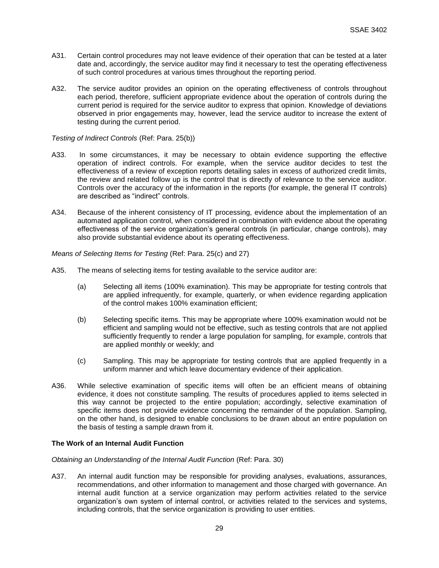- A31. Certain control procedures may not leave evidence of their operation that can be tested at a later date and, accordingly, the service auditor may find it necessary to test the operating effectiveness of such control procedures at various times throughout the reporting period.
- A32. The service auditor provides an opinion on the operating effectiveness of controls throughout each period, therefore, sufficient appropriate evidence about the operation of controls during the current period is required for the service auditor to express that opinion. Knowledge of deviations observed in prior engagements may, however, lead the service auditor to increase the extent of testing during the current period.

#### *Testing of Indirect Controls* (Ref: Para. 25(b))

- A33. In some circumstances, it may be necessary to obtain evidence supporting the effective operation of indirect controls. For example, when the service auditor decides to test the effectiveness of a review of exception reports detailing sales in excess of authorized credit limits, the review and related follow up is the control that is directly of relevance to the service auditor. Controls over the accuracy of the information in the reports (for example, the general IT controls) are described as "indirect" controls.
- A34. Because of the inherent consistency of IT processing, evidence about the implementation of an automated application control, when considered in combination with evidence about the operating effectiveness of the service organization's general controls (in particular, change controls), may also provide substantial evidence about its operating effectiveness.

#### *Means of Selecting Items for Testing* (Ref: Para. 25(c) and 27)

- A35. The means of selecting items for testing available to the service auditor are:
	- (a) Selecting all items (100% examination). This may be appropriate for testing controls that are applied infrequently, for example, quarterly, or when evidence regarding application of the control makes 100% examination efficient;
	- (b) Selecting specific items. This may be appropriate where 100% examination would not be efficient and sampling would not be effective, such as testing controls that are not applied sufficiently frequently to render a large population for sampling, for example, controls that are applied monthly or weekly; and
	- (c) Sampling. This may be appropriate for testing controls that are applied frequently in a uniform manner and which leave documentary evidence of their application.
- A36. While selective examination of specific items will often be an efficient means of obtaining evidence, it does not constitute sampling. The results of procedures applied to items selected in this way cannot be projected to the entire population; accordingly, selective examination of specific items does not provide evidence concerning the remainder of the population. Sampling, on the other hand, is designed to enable conclusions to be drawn about an entire population on the basis of testing a sample drawn from it.

#### **The Work of an Internal Audit Function**

#### *Obtaining an Understanding of the Internal Audit Function* (Ref: Para. 30)

A37. An internal audit function may be responsible for providing analyses, evaluations, assurances, recommendations, and other information to management and those charged with governance. An internal audit function at a service organization may perform activities related to the service organization's own system of internal control, or activities related to the services and systems, including controls, that the service organization is providing to user entities.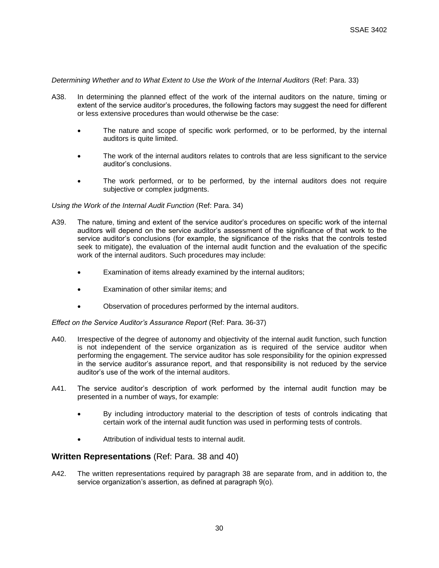#### *Determining Whether and to What Extent to Use the Work of the Internal Auditors* (Ref: Para. 33)

- A38. In determining the planned effect of the work of the internal auditors on the nature, timing or extent of the service auditor's procedures, the following factors may suggest the need for different or less extensive procedures than would otherwise be the case:
	- The nature and scope of specific work performed, or to be performed, by the internal auditors is quite limited.
	- The work of the internal auditors relates to controls that are less significant to the service auditor's conclusions.
	- The work performed, or to be performed, by the internal auditors does not require subjective or complex judgments.

#### *Using the Work of the Internal Audit Function* (Ref: Para. 34)

- A39. The nature, timing and extent of the service auditor's procedures on specific work of the internal auditors will depend on the service auditor's assessment of the significance of that work to the service auditor's conclusions (for example, the significance of the risks that the controls tested seek to mitigate), the evaluation of the internal audit function and the evaluation of the specific work of the internal auditors. Such procedures may include:
	- Examination of items already examined by the internal auditors;
	- Examination of other similar items; and
	- Observation of procedures performed by the internal auditors.

*Effect on the Service Auditor's Assurance Report* (Ref: Para. 36-37)

- A40. Irrespective of the degree of autonomy and objectivity of the internal audit function, such function is not independent of the service organization as is required of the service auditor when performing the engagement. The service auditor has sole responsibility for the opinion expressed in the service auditor's assurance report, and that responsibility is not reduced by the service auditor's use of the work of the internal auditors.
- A41. The service auditor's description of work performed by the internal audit function may be presented in a number of ways, for example:
	- By including introductory material to the description of tests of controls indicating that certain work of the internal audit function was used in performing tests of controls.
	- Attribution of individual tests to internal audit.

#### **Written Representations** (Ref: Para. 38 and 40)

A42. The written representations required by paragraph 38 are separate from, and in addition to, the service organization's assertion, as defined at paragraph 9(o).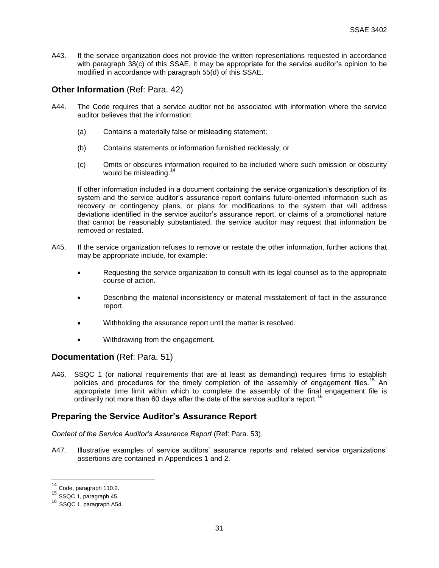A43. If the service organization does not provide the written representations requested in accordance with paragraph 38(c) of this SSAE, it may be appropriate for the service auditor's opinion to be modified in accordance with paragraph 55(d) of this SSAE.

## **Other Information** (Ref: Para. 42)

- A44. The Code requires that a service auditor not be associated with information where the service auditor believes that the information:
	- (a) Contains a materially false or misleading statement;
	- (b) Contains statements or information furnished recklessly; or
	- (c) Omits or obscures information required to be included where such omission or obscurity would be misleading. $1$

If other information included in a document containing the service organization's description of its system and the service auditor's assurance report contains future-oriented information such as recovery or contingency plans, or plans for modifications to the system that will address deviations identified in the service auditor's assurance report, or claims of a promotional nature that cannot be reasonably substantiated, the service auditor may request that information be removed or restated.

- A45. If the service organization refuses to remove or restate the other information, further actions that may be appropriate include, for example:
	- Requesting the service organization to consult with its legal counsel as to the appropriate course of action.
	- Describing the material inconsistency or material misstatement of fact in the assurance report.
	- Withholding the assurance report until the matter is resolved.
	- Withdrawing from the engagement.

#### **Documentation** (Ref: Para. 51)

A46. SSQC 1 (or national requirements that are at least as demanding) requires firms to establish policies and procedures for the timely completion of the assembly of engagement files.<sup>15</sup> An appropriate time limit within which to complete the assembly of the final engagement file is ordinarily not more than 60 days after the date of the service auditor's report.<sup>16</sup>

## **Preparing the Service Auditor's Assurance Report**

*Content of the Service Auditor's Assurance Report* (Ref: Para. 53)

A47. Illustrative examples of service auditors' assurance reports and related service organizations' assertions are contained in Appendices 1 and 2.

<sup>&</sup>lt;sup>14</sup> Code, paragraph 110.2.

<sup>15</sup> SSQC 1, paragraph 45.

<sup>16</sup> SSQC 1, paragraph A54.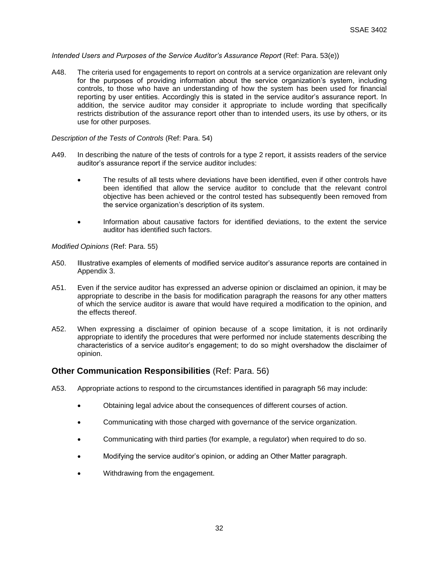#### *Intended Users and Purposes of the Service Auditor's Assurance Report (Ref: Para. 53(e))*

A48. The criteria used for engagements to report on controls at a service organization are relevant only for the purposes of providing information about the service organization's system, including controls, to those who have an understanding of how the system has been used for financial reporting by user entities. Accordingly this is stated in the service auditor's assurance report. In addition, the service auditor may consider it appropriate to include wording that specifically restricts distribution of the assurance report other than to intended users, its use by others, or its use for other purposes.

*Description of the Tests of Controls* (Ref: Para. 54)

- A49. In describing the nature of the tests of controls for a type 2 report, it assists readers of the service auditor's assurance report if the service auditor includes:
	- The results of all tests where deviations have been identified, even if other controls have been identified that allow the service auditor to conclude that the relevant control objective has been achieved or the control tested has subsequently been removed from the service organization's description of its system.
	- Information about causative factors for identified deviations, to the extent the service auditor has identified such factors.

#### *Modified Opinions* (Ref: Para. 55)

- A50. Illustrative examples of elements of modified service auditor's assurance reports are contained in Appendix 3.
- A51. Even if the service auditor has expressed an adverse opinion or disclaimed an opinion, it may be appropriate to describe in the basis for modification paragraph the reasons for any other matters of which the service auditor is aware that would have required a modification to the opinion, and the effects thereof.
- A52. When expressing a disclaimer of opinion because of a scope limitation, it is not ordinarily appropriate to identify the procedures that were performed nor include statements describing the characteristics of a service auditor's engagement; to do so might overshadow the disclaimer of opinion.

#### **Other Communication Responsibilities** (Ref: Para. 56)

- A53. Appropriate actions to respond to the circumstances identified in paragraph 56 may include:
	- Obtaining legal advice about the consequences of different courses of action.
	- Communicating with those charged with governance of the service organization.
	- Communicating with third parties (for example, a regulator) when required to do so.
	- Modifying the service auditor's opinion, or adding an Other Matter paragraph.
	- Withdrawing from the engagement.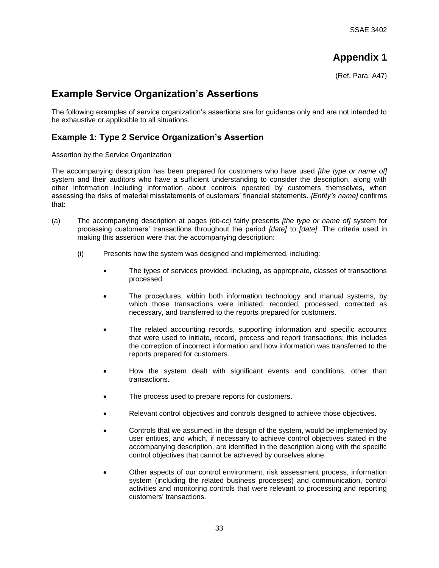# **Appendix 1**

(Ref. Para. A47)

# **Example Service Organization's Assertions**

The following examples of service organization's assertions are for guidance only and are not intended to be exhaustive or applicable to all situations.

# **Example 1: Type 2 Service Organization's Assertion**

Assertion by the Service Organization

The accompanying description has been prepared for customers who have used *[the type or name of]* system and their auditors who have a sufficient understanding to consider the description, along with other information including information about controls operated by customers themselves, when assessing the risks of material misstatements of customers' financial statements. *[Entity's name]* confirms that:

- (a) The accompanying description at pages *[bb-cc]* fairly presents *[the type or name of]* system for processing customers' transactions throughout the period *[date]* to *[date]*. The criteria used in making this assertion were that the accompanying description:
	- (i) Presents how the system was designed and implemented, including:
		- The types of services provided, including, as appropriate, classes of transactions processed.
		- The procedures, within both information technology and manual systems, by which those transactions were initiated, recorded, processed, corrected as necessary, and transferred to the reports prepared for customers.
		- The related accounting records, supporting information and specific accounts that were used to initiate, record, process and report transactions; this includes the correction of incorrect information and how information was transferred to the reports prepared for customers.
		- How the system dealt with significant events and conditions, other than transactions.
		- The process used to prepare reports for customers.
		- Relevant control objectives and controls designed to achieve those objectives.
		- Controls that we assumed, in the design of the system, would be implemented by user entities, and which, if necessary to achieve control objectives stated in the accompanying description, are identified in the description along with the specific control objectives that cannot be achieved by ourselves alone.
		- Other aspects of our control environment, risk assessment process, information system (including the related business processes) and communication, control activities and monitoring controls that were relevant to processing and reporting customers' transactions.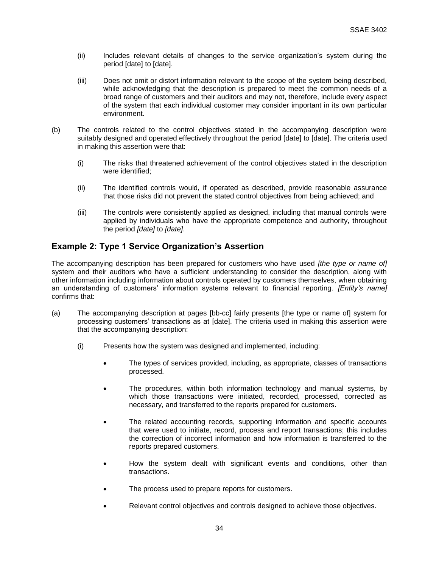- (ii) Includes relevant details of changes to the service organization's system during the period [date] to [date].
- (iii) Does not omit or distort information relevant to the scope of the system being described, while acknowledging that the description is prepared to meet the common needs of a broad range of customers and their auditors and may not, therefore, include every aspect of the system that each individual customer may consider important in its own particular environment.
- (b) The controls related to the control objectives stated in the accompanying description were suitably designed and operated effectively throughout the period [date] to [date]. The criteria used in making this assertion were that:
	- (i) The risks that threatened achievement of the control objectives stated in the description were identified;
	- (ii) The identified controls would, if operated as described, provide reasonable assurance that those risks did not prevent the stated control objectives from being achieved; and
	- (iii) The controls were consistently applied as designed, including that manual controls were applied by individuals who have the appropriate competence and authority, throughout the period *[date]* to *[date]*.

# **Example 2: Type 1 Service Organization's Assertion**

The accompanying description has been prepared for customers who have used *[the type or name of]* system and their auditors who have a sufficient understanding to consider the description, along with other information including information about controls operated by customers themselves, when obtaining an understanding of customers' information systems relevant to financial reporting. *[Entity's name]* confirms that:

- (a) The accompanying description at pages [bb-cc] fairly presents [the type or name of] system for processing customers' transactions as at [date]. The criteria used in making this assertion were that the accompanying description:
	- (i) Presents how the system was designed and implemented, including:
		- The types of services provided, including, as appropriate, classes of transactions processed.
		- The procedures, within both information technology and manual systems, by which those transactions were initiated, recorded, processed, corrected as necessary, and transferred to the reports prepared for customers.
		- The related accounting records, supporting information and specific accounts that were used to initiate, record, process and report transactions; this includes the correction of incorrect information and how information is transferred to the reports prepared customers.
		- How the system dealt with significant events and conditions, other than transactions.
		- The process used to prepare reports for customers.
		- Relevant control objectives and controls designed to achieve those objectives.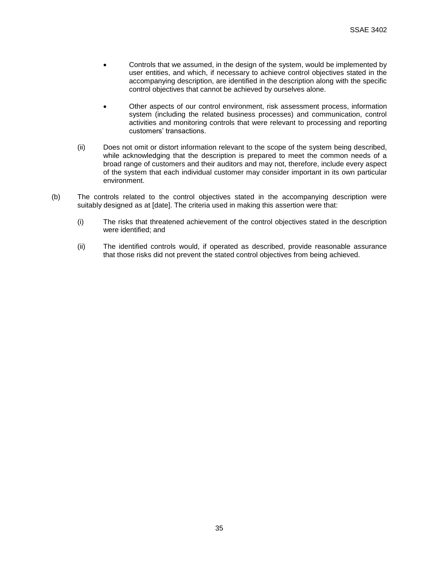- Controls that we assumed, in the design of the system, would be implemented by user entities, and which, if necessary to achieve control objectives stated in the accompanying description, are identified in the description along with the specific control objectives that cannot be achieved by ourselves alone.
- Other aspects of our control environment, risk assessment process, information system (including the related business processes) and communication, control activities and monitoring controls that were relevant to processing and reporting customers' transactions.
- (ii) Does not omit or distort information relevant to the scope of the system being described, while acknowledging that the description is prepared to meet the common needs of a broad range of customers and their auditors and may not, therefore, include every aspect of the system that each individual customer may consider important in its own particular environment.
- (b) The controls related to the control objectives stated in the accompanying description were suitably designed as at [date]. The criteria used in making this assertion were that:
	- (i) The risks that threatened achievement of the control objectives stated in the description were identified; and
	- (ii) The identified controls would, if operated as described, provide reasonable assurance that those risks did not prevent the stated control objectives from being achieved.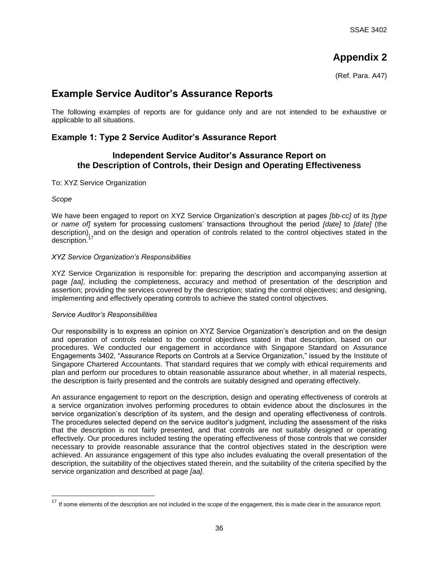# **Appendix 2**

(Ref. Para. A47)

# **Example Service Auditor's Assurance Reports**

The following examples of reports are for guidance only and are not intended to be exhaustive or applicable to all situations.

# **Example 1: Type 2 Service Auditor's Assurance Report**

## **Independent Service Auditor's Assurance Report on the Description of Controls, their Design and Operating Effectiveness**

To: XYZ Service Organization

*Scope* 

 $\overline{a}$ 

We have been engaged to report on XYZ Service Organization's description at pages *[bb-cc]* of its *[type or name of]* system for processing customers' transactions throughout the period *[date]* to *[date]* (the description), and on the design and operation of controls related to the control objectives stated in the description.<sup>1</sup>

#### *XYZ Service Organization's Responsibilities*

XYZ Service Organization is responsible for: preparing the description and accompanying assertion at page *[aa]*, including the completeness, accuracy and method of presentation of the description and assertion; providing the services covered by the description; stating the control objectives; and designing, implementing and effectively operating controls to achieve the stated control objectives.

#### *Service Auditor's Responsibilities*

Our responsibility is to express an opinion on XYZ Service Organization's description and on the design and operation of controls related to the control objectives stated in that description, based on our procedures. We conducted our engagement in accordance with Singapore Standard on Assurance Engagements 3402, "Assurance Reports on Controls at a Service Organization," issued by the Institute of Singapore Chartered Accountants. That standard requires that we comply with ethical requirements and plan and perform our procedures to obtain reasonable assurance about whether, in all material respects, the description is fairly presented and the controls are suitably designed and operating effectively.

An assurance engagement to report on the description, design and operating effectiveness of controls at a service organization involves performing procedures to obtain evidence about the disclosures in the service organization's description of its system, and the design and operating effectiveness of controls. The procedures selected depend on the service auditor's judgment, including the assessment of the risks that the description is not fairly presented, and that controls are not suitably designed or operating effectively. Our procedures included testing the operating effectiveness of those controls that we consider necessary to provide reasonable assurance that the control objectives stated in the description were achieved. An assurance engagement of this type also includes evaluating the overall presentation of the description, the suitability of the objectives stated therein, and the suitability of the criteria specified by the service organization and described at page *[aa]*.

<sup>&</sup>lt;sup>17</sup> If some elements of the description are not included in the scope of the engagement, this is made clear in the assurance report.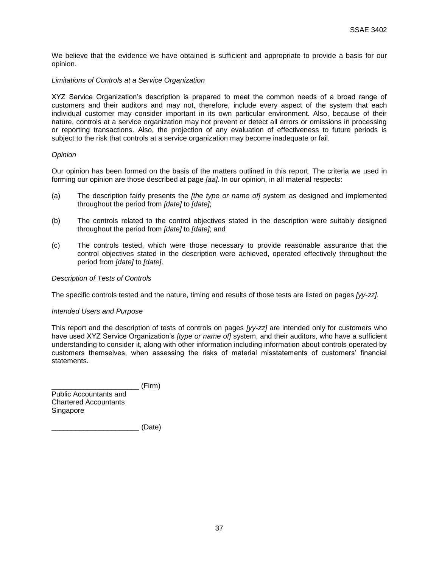We believe that the evidence we have obtained is sufficient and appropriate to provide a basis for our opinion.

#### *Limitations of Controls at a Service Organization*

XYZ Service Organization's description is prepared to meet the common needs of a broad range of customers and their auditors and may not, therefore, include every aspect of the system that each individual customer may consider important in its own particular environment. Also, because of their nature, controls at a service organization may not prevent or detect all errors or omissions in processing or reporting transactions. Also, the projection of any evaluation of effectiveness to future periods is subject to the risk that controls at a service organization may become inadequate or fail.

#### *Opinion*

Our opinion has been formed on the basis of the matters outlined in this report. The criteria we used in forming our opinion are those described at page *[aa]*. In our opinion, in all material respects:

- (a) The description fairly presents the *[the type or name of]* system as designed and implemented throughout the period from *[date]* to *[date]*;
- (b) The controls related to the control objectives stated in the description were suitably designed throughout the period from *[date]* to *[date]*; and
- (c) The controls tested, which were those necessary to provide reasonable assurance that the control objectives stated in the description were achieved, operated effectively throughout the period from *[date]* to *[date]*.

#### *Description of Tests of Controls*

The specific controls tested and the nature, timing and results of those tests are listed on pages *[yy-zz]*.

#### *Intended Users and Purpose*

This report and the description of tests of controls on pages *[yy-zz]* are intended only for customers who have used XYZ Service Organization's *[type or name of]* system, and their auditors, who have a sufficient understanding to consider it, along with other information including information about controls operated by customers themselves, when assessing the risks of material misstatements of customers' financial statements.

 $(Firm)$ 

Public Accountants and Chartered Accountants Singapore

\_\_\_\_\_\_\_\_\_\_\_\_\_\_\_\_\_\_\_\_\_\_ (Date)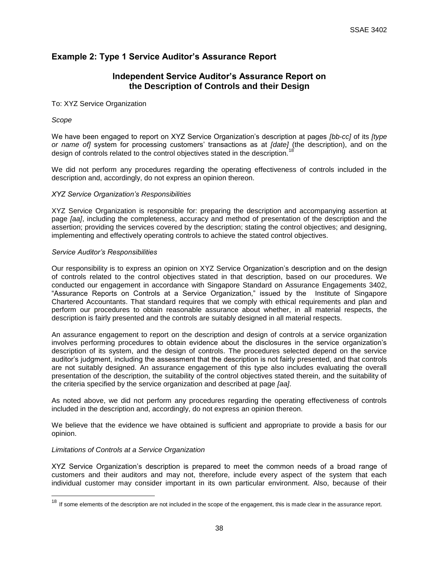# **Example 2: Type 1 Service Auditor's Assurance Report**

## **Independent Service Auditor's Assurance Report on the Description of Controls and their Design**

#### To: XYZ Service Organization

#### *Scope*

 $\overline{a}$ 

We have been engaged to report on XYZ Service Organization's description at pages *[bb-cc]* of its *[type or name of]* system for processing customers' transactions as at *[date]* (the description), and on the design of controls related to the control objectives stated in the description.

We did not perform any procedures regarding the operating effectiveness of controls included in the description and, accordingly, do not express an opinion thereon.

#### *XYZ Service Organization's Responsibilities*

XYZ Service Organization is responsible for: preparing the description and accompanying assertion at page *[aa]*, including the completeness, accuracy and method of presentation of the description and the assertion; providing the services covered by the description; stating the control objectives; and designing, implementing and effectively operating controls to achieve the stated control objectives.

#### *Service Auditor's Responsibilities*

Our responsibility is to express an opinion on XYZ Service Organization's description and on the design of controls related to the control objectives stated in that description, based on our procedures. We conducted our engagement in accordance with Singapore Standard on Assurance Engagements 3402, "Assurance Reports on Controls at a Service Organization," issued by the Institute of Singapore Chartered Accountants. That standard requires that we comply with ethical requirements and plan and perform our procedures to obtain reasonable assurance about whether, in all material respects, the description is fairly presented and the controls are suitably designed in all material respects.

An assurance engagement to report on the description and design of controls at a service organization involves performing procedures to obtain evidence about the disclosures in the service organization's description of its system, and the design of controls. The procedures selected depend on the service auditor's judgment, including the assessment that the description is not fairly presented, and that controls are not suitably designed. An assurance engagement of this type also includes evaluating the overall presentation of the description, the suitability of the control objectives stated therein, and the suitability of the criteria specified by the service organization and described at page *[aa]*.

As noted above, we did not perform any procedures regarding the operating effectiveness of controls included in the description and, accordingly, do not express an opinion thereon.

We believe that the evidence we have obtained is sufficient and appropriate to provide a basis for our opinion.

#### *Limitations of Controls at a Service Organization*

XYZ Service Organization's description is prepared to meet the common needs of a broad range of customers and their auditors and may not, therefore, include every aspect of the system that each individual customer may consider important in its own particular environment. Also, because of their

<sup>&</sup>lt;sup>18</sup> If some elements of the description are not included in the scope of the engagement, this is made clear in the assurance report.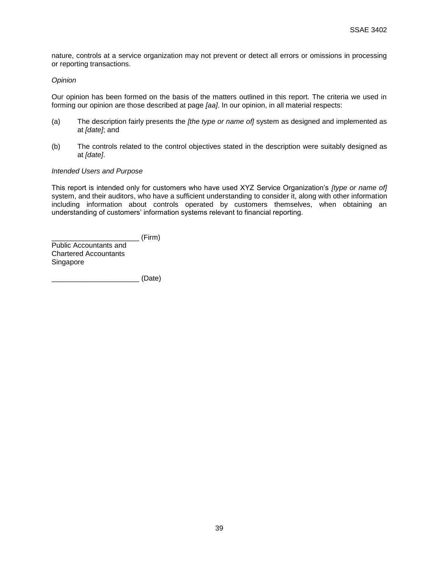nature, controls at a service organization may not prevent or detect all errors or omissions in processing or reporting transactions.

#### *Opinion*

Our opinion has been formed on the basis of the matters outlined in this report. The criteria we used in forming our opinion are those described at page *[aa]*. In our opinion, in all material respects:

- (a) The description fairly presents the *[the type or name of]* system as designed and implemented as at *[date]*; and
- (b) The controls related to the control objectives stated in the description were suitably designed as at *[date]*.

#### *Intended Users and Purpose*

This report is intended only for customers who have used XYZ Service Organization's *[type or name of]* system, and their auditors, who have a sufficient understanding to consider it, along with other information including information about controls operated by customers themselves, when obtaining an understanding of customers' information systems relevant to financial reporting.

 $(Firm)$ Public Accountants and Chartered Accountants Singapore

\_\_\_\_\_\_\_\_\_\_\_\_\_\_\_\_\_\_\_\_\_\_ (Date)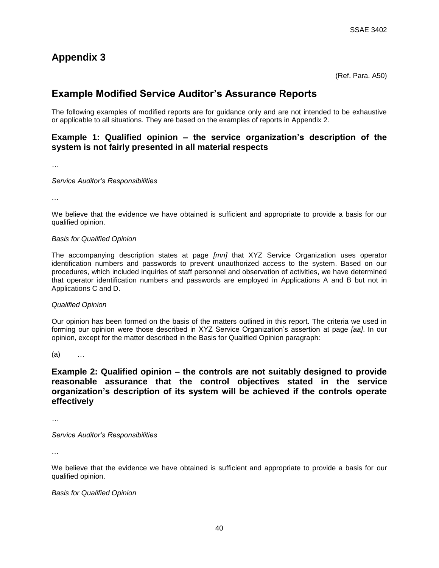# **Appendix 3**

(Ref. Para. A50)

# **Example Modified Service Auditor's Assurance Reports**

The following examples of modified reports are for guidance only and are not intended to be exhaustive or applicable to all situations. They are based on the examples of reports in Appendix 2.

# **Example 1: Qualified opinion – the service organization's description of the system is not fairly presented in all material respects**

*…* 

*Service Auditor's Responsibilities* 

…

We believe that the evidence we have obtained is sufficient and appropriate to provide a basis for our qualified opinion.

#### *Basis for Qualified Opinion*

The accompanying description states at page *[mn]* that XYZ Service Organization uses operator identification numbers and passwords to prevent unauthorized access to the system. Based on our procedures, which included inquiries of staff personnel and observation of activities, we have determined that operator identification numbers and passwords are employed in Applications A and B but not in Applications C and D.

#### *Qualified Opinion*

Our opinion has been formed on the basis of the matters outlined in this report. The criteria we used in forming our opinion were those described in XYZ Service Organization's assertion at page *[aa]*. In our opinion, except for the matter described in the Basis for Qualified Opinion paragraph:

(a) …

# **Example 2: Qualified opinion – the controls are not suitably designed to provide reasonable assurance that the control objectives stated in the service organization's description of its system will be achieved if the controls operate effectively**

*…* 

*Service Auditor's Responsibilities* 

…

We believe that the evidence we have obtained is sufficient and appropriate to provide a basis for our qualified opinion.

*Basis for Qualified Opinion*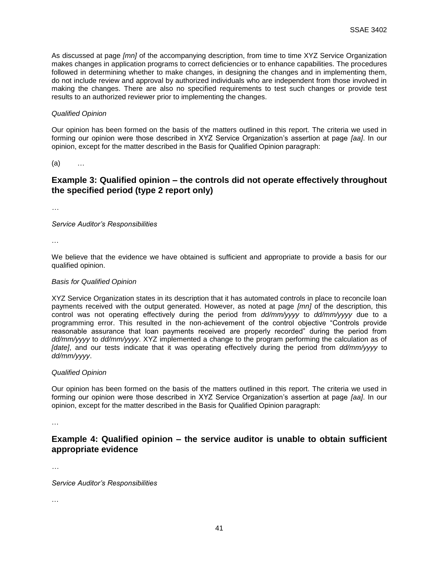As discussed at page *[mn]* of the accompanying description, from time to time XYZ Service Organization makes changes in application programs to correct deficiencies or to enhance capabilities. The procedures followed in determining whether to make changes, in designing the changes and in implementing them, do not include review and approval by authorized individuals who are independent from those involved in making the changes. There are also no specified requirements to test such changes or provide test results to an authorized reviewer prior to implementing the changes.

#### *Qualified Opinion*

Our opinion has been formed on the basis of the matters outlined in this report. The criteria we used in forming our opinion were those described in XYZ Service Organization's assertion at page *[aa]*. In our opinion, except for the matter described in the Basis for Qualified Opinion paragraph:

(a) …

# **Example 3: Qualified opinion – the controls did not operate effectively throughout the specified period (type 2 report only)**

*…* 

#### *Service Auditor's Responsibilities*

…

We believe that the evidence we have obtained is sufficient and appropriate to provide a basis for our qualified opinion.

#### *Basis for Qualified Opinion*

XYZ Service Organization states in its description that it has automated controls in place to reconcile loan payments received with the output generated. However, as noted at page *[mn]* of the description, this control was not operating effectively during the period from *dd/mm/yyyy* to *dd/mm/yyyy* due to a programming error. This resulted in the non-achievement of the control objective "Controls provide reasonable assurance that loan payments received are properly recorded" during the period from *dd/mm/yyyy* to *dd/mm/yyyy*. XYZ implemented a change to the program performing the calculation as of *[date]*, and our tests indicate that it was operating effectively during the period from *dd/mm/yyyy* to *dd/mm/yyyy*.

#### *Qualified Opinion*

Our opinion has been formed on the basis of the matters outlined in this report. The criteria we used in forming our opinion were those described in XYZ Service Organization's assertion at page *[aa]*. In our opinion, except for the matter described in the Basis for Qualified Opinion paragraph:

…

# **Example 4: Qualified opinion – the service auditor is unable to obtain sufficient appropriate evidence**

*…* 

*Service Auditor's Responsibilities* 

…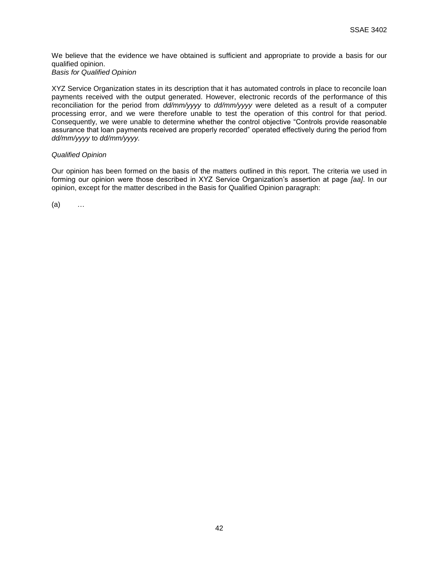We believe that the evidence we have obtained is sufficient and appropriate to provide a basis for our qualified opinion.

### *Basis for Qualified Opinion*

XYZ Service Organization states in its description that it has automated controls in place to reconcile loan payments received with the output generated. However, electronic records of the performance of this reconciliation for the period from *dd/mm/yyyy* to *dd/mm/yyyy* were deleted as a result of a computer processing error, and we were therefore unable to test the operation of this control for that period. Consequently, we were unable to determine whether the control objective "Controls provide reasonable assurance that loan payments received are properly recorded" operated effectively during the period from *dd/mm/yyyy* to *dd/mm/yyyy.*

#### *Qualified Opinion*

Our opinion has been formed on the basis of the matters outlined in this report. The criteria we used in forming our opinion were those described in XYZ Service Organization's assertion at page *[aa]*. In our opinion, except for the matter described in the Basis for Qualified Opinion paragraph:

(a) …